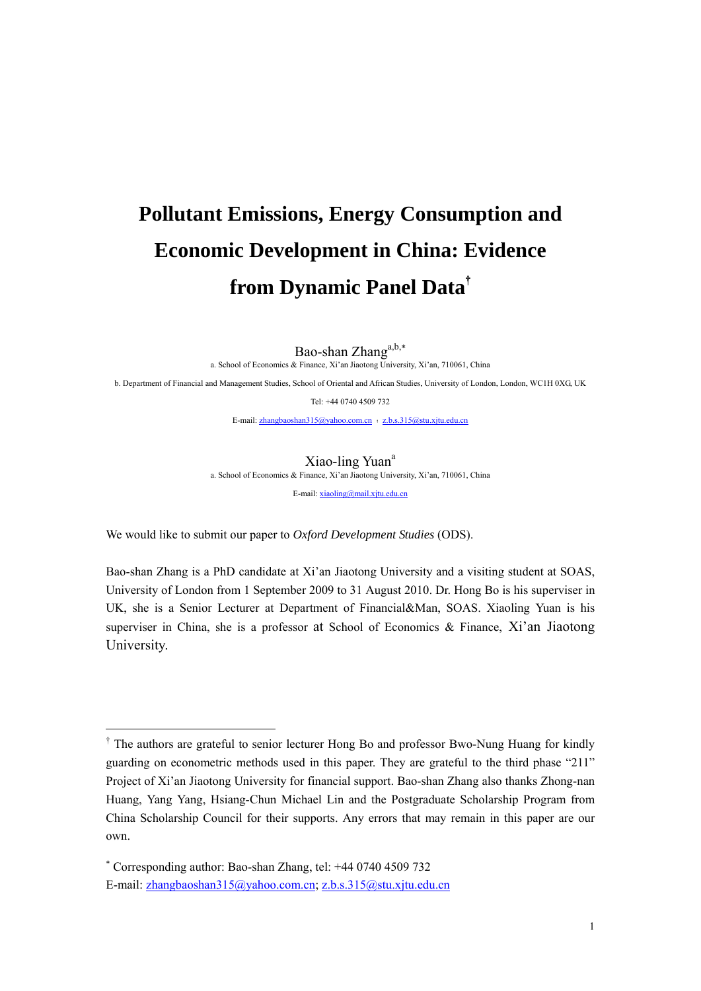# **Pollutant Emissions, Energy Consumption and Economic Development in China: Evidence from Dynamic Panel Data**†

Bao-shan Zhang<sup>a,b,\*</sup>

a. School of Economics & Finance, Xi'an Jiaotong University, Xi'an, 710061, China

b. Department of Financial and Management Studies, School of Oriental and African Studies, University of London, London, WC1H 0XG, UK

Tel: +44 0740 4509 732

E-mail: zhangbaoshan315@yahoo.com.cn : z.b.s.315@stu.xjtu.edu.cn

Xiao-ling Yuan<sup>a</sup>

a. School of Economics & Finance, Xi'an Jiaotong University, Xi'an, 710061, China

E-mail: xiaoling@mail.xjtu.edu.cn

We would like to submit our paper to *Oxford Development Studies* (ODS).

Bao-shan Zhang is a PhD candidate at Xi'an Jiaotong University and a visiting student at SOAS, University of London from 1 September 2009 to 31 August 2010. Dr. Hong Bo is his superviser in UK, she is a Senior Lecturer at Department of Financial&Man, SOAS. Xiaoling Yuan is his superviser in China, she is a professor at School of Economics & Finance, Xi'an Jiaotong University.

<u>.</u>

<sup>&</sup>lt;sup>†</sup> The authors are grateful to senior lecturer Hong Bo and professor Bwo-Nung Huang for kindly guarding on econometric methods used in this paper. They are grateful to the third phase "211" Project of Xi'an Jiaotong University for financial support. Bao-shan Zhang also thanks Zhong-nan Huang, Yang Yang, Hsiang-Chun Michael Lin and the Postgraduate Scholarship Program from China Scholarship Council for their supports. Any errors that may remain in this paper are our own.

<sup>∗</sup> Corresponding author: Bao-shan Zhang, tel: +44 0740 4509 732 E-mail: zhangbaoshan315@yahoo.com.cn; z.b.s.315@stu.xjtu.edu.cn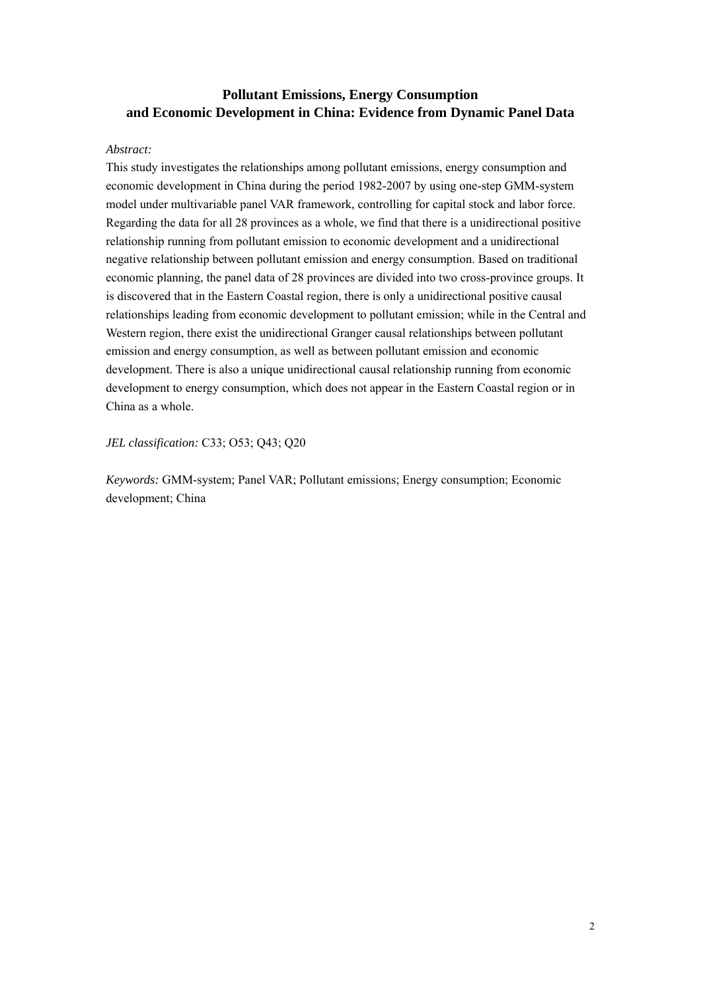# **Pollutant Emissions, Energy Consumption and Economic Development in China: Evidence from Dynamic Panel Data**

## *Abstract:*

This study investigates the relationships among pollutant emissions, energy consumption and economic development in China during the period 1982-2007 by using one-step GMM-system model under multivariable panel VAR framework, controlling for capital stock and labor force. Regarding the data for all 28 provinces as a whole, we find that there is a unidirectional positive relationship running from pollutant emission to economic development and a unidirectional negative relationship between pollutant emission and energy consumption. Based on traditional economic planning, the panel data of 28 provinces are divided into two cross-province groups. It is discovered that in the Eastern Coastal region, there is only a unidirectional positive causal relationships leading from economic development to pollutant emission; while in the Central and Western region, there exist the unidirectional Granger causal relationships between pollutant emission and energy consumption, as well as between pollutant emission and economic development. There is also a unique unidirectional causal relationship running from economic development to energy consumption, which does not appear in the Eastern Coastal region or in China as a whole.

*JEL classification:* C33; O53; Q43; Q20

*Keywords:* GMM-system; Panel VAR; Pollutant emissions; Energy consumption; Economic development; China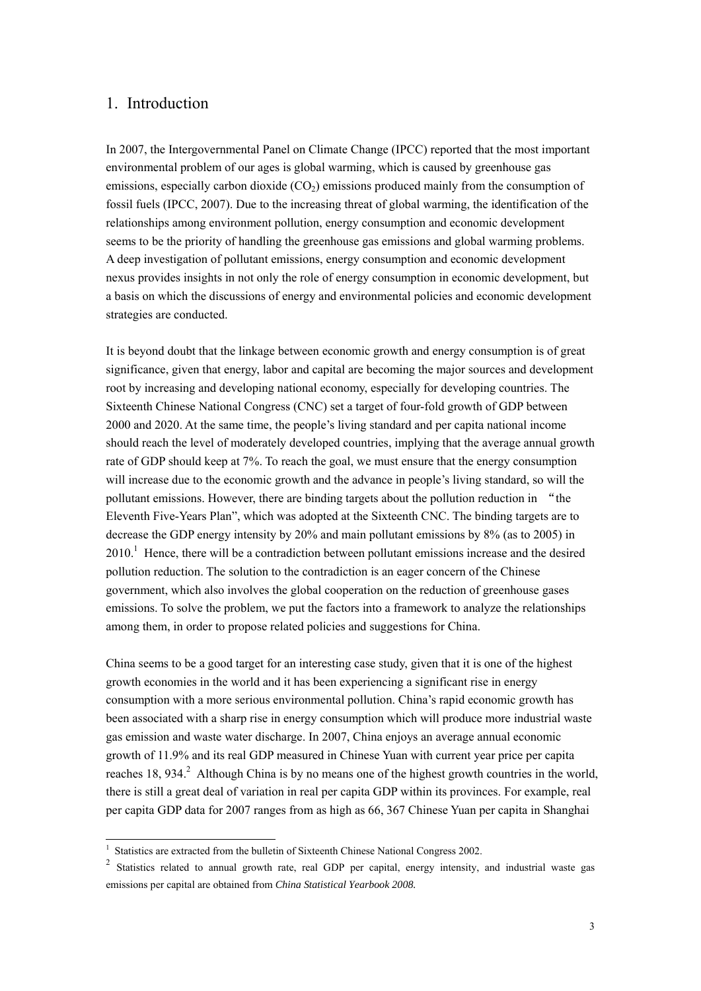## 1. Introduction

In 2007, the Intergovernmental Panel on Climate Change (IPCC) reported that the most important environmental problem of our ages is global warming, which is caused by greenhouse gas emissions, especially carbon dioxide  $(CO<sub>2</sub>)$  emissions produced mainly from the consumption of fossil fuels (IPCC, 2007). Due to the increasing threat of global warming, the identification of the relationships among environment pollution, energy consumption and economic development seems to be the priority of handling the greenhouse gas emissions and global warming problems. A deep investigation of pollutant emissions, energy consumption and economic development nexus provides insights in not only the role of energy consumption in economic development, but a basis on which the discussions of energy and environmental policies and economic development strategies are conducted.

It is beyond doubt that the linkage between economic growth and energy consumption is of great significance, given that energy, labor and capital are becoming the major sources and development root by increasing and developing national economy, especially for developing countries. The Sixteenth Chinese National Congress (CNC) set a target of four-fold growth of GDP between 2000 and 2020. At the same time, the people's living standard and per capita national income should reach the level of moderately developed countries, implying that the average annual growth rate of GDP should keep at 7%. To reach the goal, we must ensure that the energy consumption will increase due to the economic growth and the advance in people's living standard, so will the pollutant emissions. However, there are binding targets about the pollution reduction in "the Eleventh Five-Years Plan", which was adopted at the Sixteenth CNC. The binding targets are to decrease the GDP energy intensity by 20% and main pollutant emissions by 8% (as to 2005) in  $2010<sup>1</sup>$  Hence, there will be a contradiction between pollutant emissions increase and the desired pollution reduction. The solution to the contradiction is an eager concern of the Chinese government, which also involves the global cooperation on the reduction of greenhouse gases emissions. To solve the problem, we put the factors into a framework to analyze the relationships among them, in order to propose related policies and suggestions for China.

China seems to be a good target for an interesting case study, given that it is one of the highest growth economies in the world and it has been experiencing a significant rise in energy consumption with a more serious environmental pollution. China's rapid economic growth has been associated with a sharp rise in energy consumption which will produce more industrial waste gas emission and waste water discharge. In 2007, China enjoys an average annual economic growth of 11.9% and its real GDP measured in Chinese Yuan with current year price per capita reaches  $18$ ,  $934$ <sup>2</sup> Although China is by no means one of the highest growth countries in the world, there is still a great deal of variation in real per capita GDP within its provinces. For example, real per capita GDP data for 2007 ranges from as high as 66, 367 Chinese Yuan per capita in Shanghai

-

<sup>&</sup>lt;sup>1</sup> Statistics are extracted from the bulletin of Sixteenth Chinese National Congress 2002.

<sup>2</sup> Statistics related to annual growth rate, real GDP per capital, energy intensity, and industrial waste gas emissions per capital are obtained from *China Statistical Yearbook 2008.*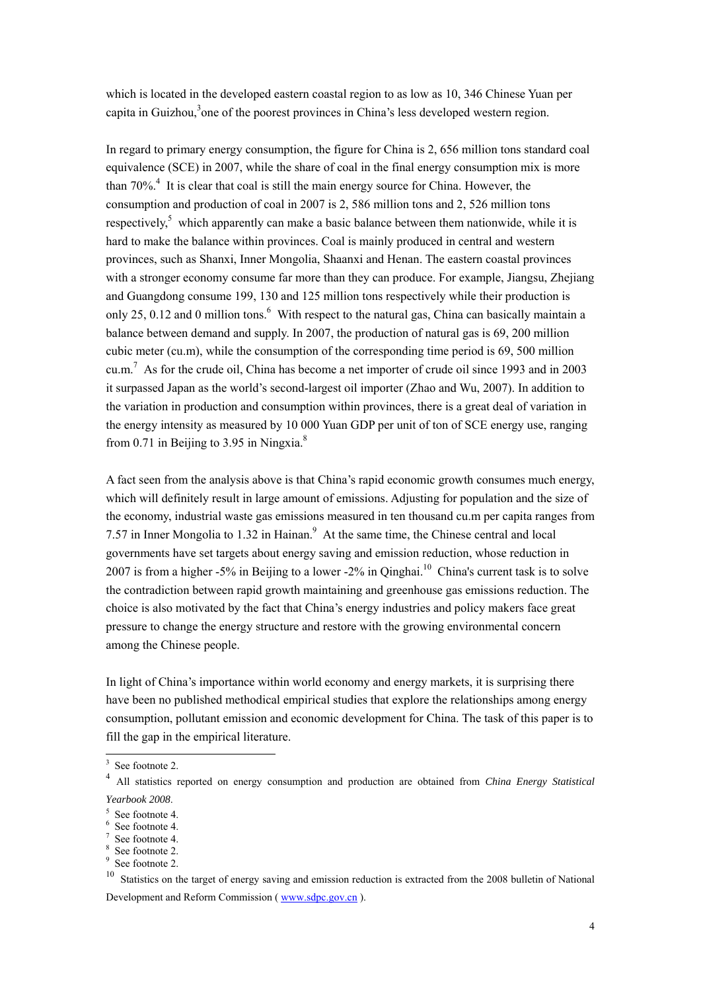which is located in the developed eastern coastal region to as low as 10, 346 Chinese Yuan per capita in Guizhou,<sup>3</sup> one of the poorest provinces in China's less developed western region.

In regard to primary energy consumption, the figure for China is 2, 656 million tons standard coal equivalence (SCE) in 2007, while the share of coal in the final energy consumption mix is more than  $70\%$ <sup>4</sup>. It is clear that coal is still the main energy source for China. However, the consumption and production of coal in 2007 is 2, 586 million tons and 2, 526 million tons respectively,<sup>5</sup> which apparently can make a basic balance between them nationwide, while it is hard to make the balance within provinces. Coal is mainly produced in central and western provinces, such as Shanxi, Inner Mongolia, Shaanxi and Henan. The eastern coastal provinces with a stronger economy consume far more than they can produce. For example, Jiangsu, Zheijang and Guangdong consume 199, 130 and 125 million tons respectively while their production is only 25, 0.12 and 0 million tons. $^6$  With respect to the natural gas, China can basically maintain a balance between demand and supply. In 2007, the production of natural gas is 69, 200 million cubic meter (cu.m), while the consumption of the corresponding time period is 69, 500 million cu.m.<sup>7</sup> As for the crude oil, China has become a net importer of crude oil since 1993 and in 2003 it surpassed Japan as the world's second-largest oil importer (Zhao and Wu, 2007). In addition to the variation in production and consumption within provinces, there is a great deal of variation in the energy intensity as measured by 10 000 Yuan GDP per unit of ton of SCE energy use, ranging from 0.71 in Beijing to 3.95 in Ningxia. $8$ 

A fact seen from the analysis above is that China's rapid economic growth consumes much energy, which will definitely result in large amount of emissions. Adjusting for population and the size of the economy, industrial waste gas emissions measured in ten thousand cu.m per capita ranges from 7.57 in Inner Mongolia to 1.32 in Hainan.<sup>9</sup> At the same time, the Chinese central and local governments have set targets about energy saving and emission reduction, whose reduction in 2007 is from a higher -5% in Beijing to a lower -2% in Qinghai.<sup>10</sup> China's current task is to solve the contradiction between rapid growth maintaining and greenhouse gas emissions reduction. The choice is also motivated by the fact that China's energy industries and policy makers face great pressure to change the energy structure and restore with the growing environmental concern among the Chinese people.

In light of China's importance within world economy and energy markets, it is surprising there have been no published methodical empirical studies that explore the relationships among energy consumption, pollutant emission and economic development for China. The task of this paper is to fill the gap in the empirical literature.

<u>.</u>

<sup>3</sup> See footnote 2.

<sup>4</sup> All statistics reported on energy consumption and production are obtained from *China Energy Statistical Yearbook 2008.* 

 $5$  See footnote 4.

<sup>6</sup> See footnote 4.

<sup>7</sup> See footnote 4.

<sup>8</sup> See footnote 2.

<sup>&</sup>lt;sup>9</sup> See footnote 2.

<sup>&</sup>lt;sup>10</sup> Statistics on the target of energy saving and emission reduction is extracted from the 2008 bulletin of National Development and Reform Commission ( www.sdpc.gov.cn ).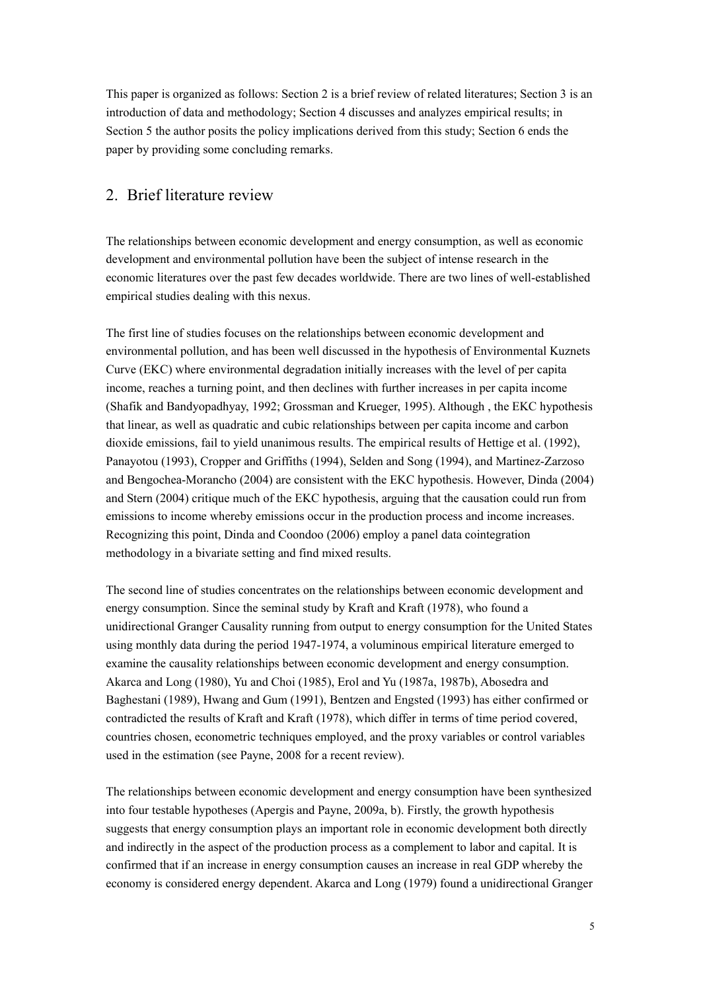This paper is organized as follows: Section 2 is a brief review of related literatures; Section 3 is an introduction of data and methodology; Section 4 discusses and analyzes empirical results; in Section 5 the author posits the policy implications derived from this study; Section 6 ends the paper by providing some concluding remarks.

## 2. Brief literature review

The relationships between economic development and energy consumption, as well as economic development and environmental pollution have been the subject of intense research in the economic literatures over the past few decades worldwide. There are two lines of well-established empirical studies dealing with this nexus.

The first line of studies focuses on the relationships between economic development and environmental pollution, and has been well discussed in the hypothesis of Environmental Kuznets Curve (EKC) where environmental degradation initially increases with the level of per capita income, reaches a turning point, and then declines with further increases in per capita income (Shafik and Bandyopadhyay, 1992; Grossman and Krueger, 1995). Although , the EKC hypothesis that linear, as well as quadratic and cubic relationships between per capita income and carbon dioxide emissions, fail to yield unanimous results. The empirical results of Hettige et al. (1992), Panayotou (1993), Cropper and Griffiths (1994), Selden and Song (1994), and Martinez-Zarzoso and Bengochea-Morancho (2004) are consistent with the EKC hypothesis. However, Dinda (2004) and Stern (2004) critique much of the EKC hypothesis, arguing that the causation could run from emissions to income whereby emissions occur in the production process and income increases. Recognizing this point, Dinda and Coondoo (2006) employ a panel data cointegration methodology in a bivariate setting and find mixed results.

The second line of studies concentrates on the relationships between economic development and energy consumption. Since the seminal study by Kraft and Kraft (1978), who found a unidirectional Granger Causality running from output to energy consumption for the United States using monthly data during the period 1947-1974, a voluminous empirical literature emerged to examine the causality relationships between economic development and energy consumption. Akarca and Long (1980), Yu and Choi (1985), Erol and Yu (1987a, 1987b), Abosedra and Baghestani (1989), Hwang and Gum (1991), Bentzen and Engsted (1993) has either confirmed or contradicted the results of Kraft and Kraft (1978), which differ in terms of time period covered, countries chosen, econometric techniques employed, and the proxy variables or control variables used in the estimation (see Payne, 2008 for a recent review).

The relationships between economic development and energy consumption have been synthesized into four testable hypotheses (Apergis and Payne, 2009a, b). Firstly, the growth hypothesis suggests that energy consumption plays an important role in economic development both directly and indirectly in the aspect of the production process as a complement to labor and capital. It is confirmed that if an increase in energy consumption causes an increase in real GDP whereby the economy is considered energy dependent. Akarca and Long (1979) found a unidirectional Granger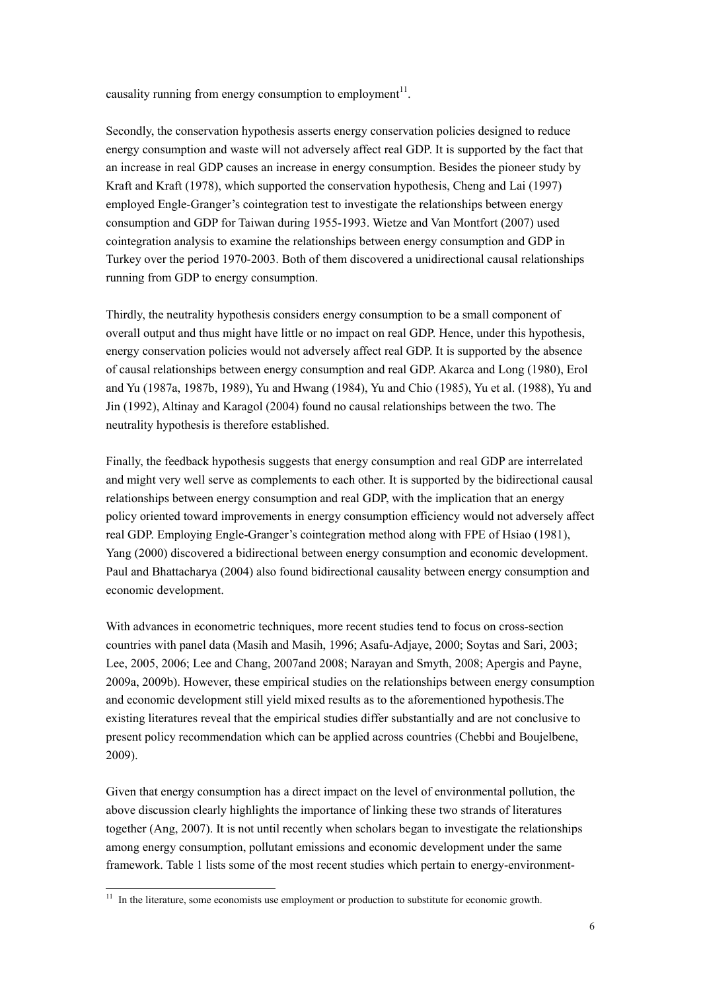causality running from energy consumption to employment<sup>11</sup>.

Secondly, the conservation hypothesis asserts energy conservation policies designed to reduce energy consumption and waste will not adversely affect real GDP. It is supported by the fact that an increase in real GDP causes an increase in energy consumption. Besides the pioneer study by Kraft and Kraft (1978), which supported the conservation hypothesis, Cheng and Lai (1997) employed Engle-Granger's cointegration test to investigate the relationships between energy consumption and GDP for Taiwan during 1955-1993. Wietze and Van Montfort (2007) used cointegration analysis to examine the relationships between energy consumption and GDP in Turkey over the period 1970-2003. Both of them discovered a unidirectional causal relationships running from GDP to energy consumption.

Thirdly, the neutrality hypothesis considers energy consumption to be a small component of overall output and thus might have little or no impact on real GDP. Hence, under this hypothesis, energy conservation policies would not adversely affect real GDP. It is supported by the absence of causal relationships between energy consumption and real GDP. Akarca and Long (1980), Erol and Yu (1987a, 1987b, 1989), Yu and Hwang (1984), Yu and Chio (1985), Yu et al. (1988), Yu and Jin (1992), Altinay and Karagol (2004) found no causal relationships between the two. The neutrality hypothesis is therefore established.

Finally, the feedback hypothesis suggests that energy consumption and real GDP are interrelated and might very well serve as complements to each other. It is supported by the bidirectional causal relationships between energy consumption and real GDP, with the implication that an energy policy oriented toward improvements in energy consumption efficiency would not adversely affect real GDP. Employing Engle-Granger's cointegration method along with FPE of Hsiao (1981), Yang (2000) discovered a bidirectional between energy consumption and economic development. Paul and Bhattacharya (2004) also found bidirectional causality between energy consumption and economic development.

With advances in econometric techniques, more recent studies tend to focus on cross-section countries with panel data (Masih and Masih, 1996; Asafu-Adjaye, 2000; Soytas and Sari, 2003; Lee, 2005, 2006; Lee and Chang, 2007and 2008; Narayan and Smyth, 2008; Apergis and Payne, 2009a, 2009b). However, these empirical studies on the relationships between energy consumption and economic development still yield mixed results as to the aforementioned hypothesis.The existing literatures reveal that the empirical studies differ substantially and are not conclusive to present policy recommendation which can be applied across countries (Chebbi and Boujelbene, 2009).

Given that energy consumption has a direct impact on the level of environmental pollution, the above discussion clearly highlights the importance of linking these two strands of literatures together (Ang, 2007). It is not until recently when scholars began to investigate the relationships among energy consumption, pollutant emissions and economic development under the same framework. Table 1 lists some of the most recent studies which pertain to energy-environment-

-

 $11$  In the literature, some economists use employment or production to substitute for economic growth.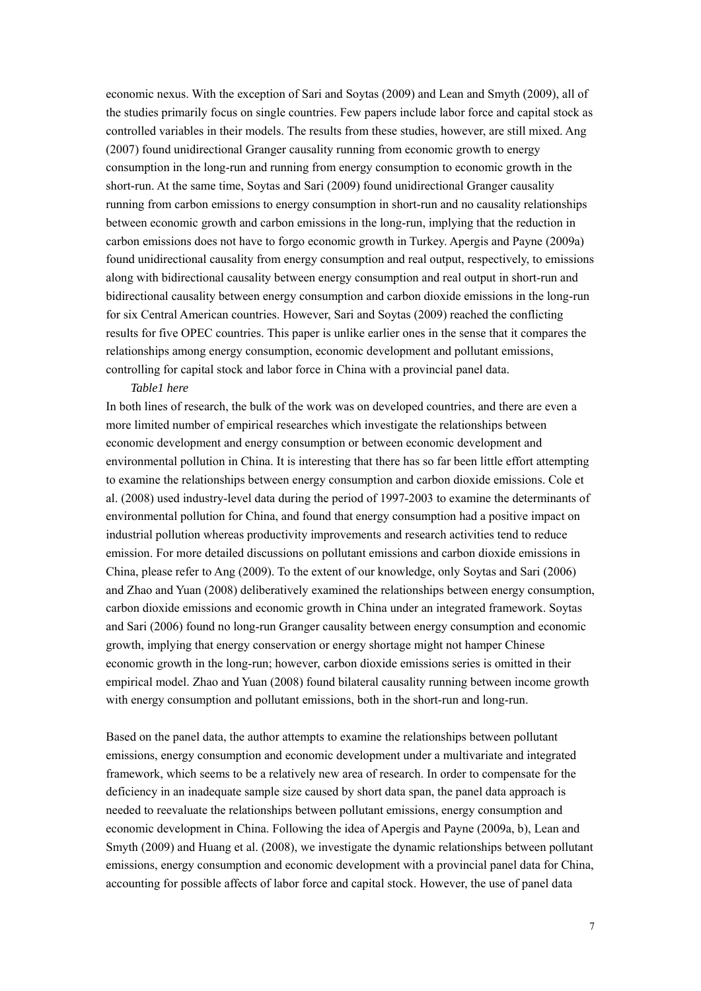economic nexus. With the exception of Sari and Soytas (2009) and Lean and Smyth (2009), all of the studies primarily focus on single countries. Few papers include labor force and capital stock as controlled variables in their models. The results from these studies, however, are still mixed. Ang (2007) found unidirectional Granger causality running from economic growth to energy consumption in the long-run and running from energy consumption to economic growth in the short-run. At the same time, Soytas and Sari (2009) found unidirectional Granger causality running from carbon emissions to energy consumption in short-run and no causality relationships between economic growth and carbon emissions in the long-run, implying that the reduction in carbon emissions does not have to forgo economic growth in Turkey. Apergis and Payne (2009a) found unidirectional causality from energy consumption and real output, respectively, to emissions along with bidirectional causality between energy consumption and real output in short-run and bidirectional causality between energy consumption and carbon dioxide emissions in the long-run for six Central American countries. However, Sari and Soytas (2009) reached the conflicting results for five OPEC countries. This paper is unlike earlier ones in the sense that it compares the relationships among energy consumption, economic development and pollutant emissions, controlling for capital stock and labor force in China with a provincial panel data.

#### *Table1 here*

In both lines of research, the bulk of the work was on developed countries, and there are even a more limited number of empirical researches which investigate the relationships between economic development and energy consumption or between economic development and environmental pollution in China. It is interesting that there has so far been little effort attempting to examine the relationships between energy consumption and carbon dioxide emissions. Cole et al. (2008) used industry-level data during the period of 1997-2003 to examine the determinants of environmental pollution for China, and found that energy consumption had a positive impact on industrial pollution whereas productivity improvements and research activities tend to reduce emission. For more detailed discussions on pollutant emissions and carbon dioxide emissions in China, please refer to Ang (2009). To the extent of our knowledge, only Soytas and Sari (2006) and Zhao and Yuan (2008) deliberatively examined the relationships between energy consumption, carbon dioxide emissions and economic growth in China under an integrated framework. Soytas and Sari (2006) found no long-run Granger causality between energy consumption and economic growth, implying that energy conservation or energy shortage might not hamper Chinese economic growth in the long-run; however, carbon dioxide emissions series is omitted in their empirical model. Zhao and Yuan (2008) found bilateral causality running between income growth with energy consumption and pollutant emissions, both in the short-run and long-run.

Based on the panel data, the author attempts to examine the relationships between pollutant emissions, energy consumption and economic development under a multivariate and integrated framework, which seems to be a relatively new area of research. In order to compensate for the deficiency in an inadequate sample size caused by short data span, the panel data approach is needed to reevaluate the relationships between pollutant emissions, energy consumption and economic development in China. Following the idea of Apergis and Payne (2009a, b), Lean and Smyth (2009) and Huang et al. (2008), we investigate the dynamic relationships between pollutant emissions, energy consumption and economic development with a provincial panel data for China, accounting for possible affects of labor force and capital stock. However, the use of panel data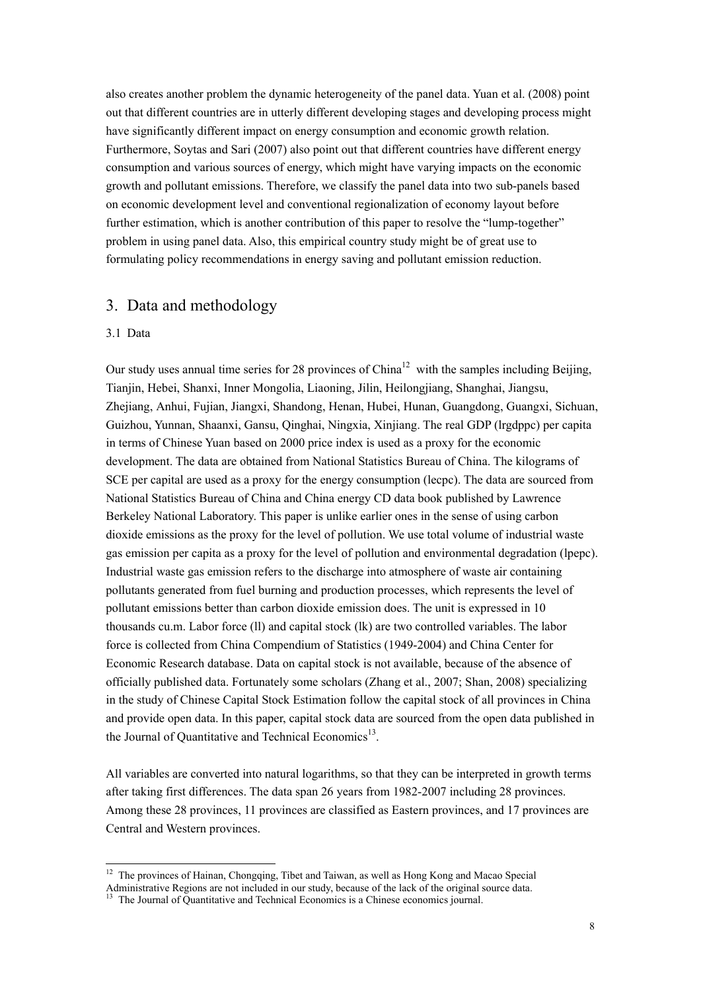also creates another problem the dynamic heterogeneity of the panel data. Yuan et al. (2008) point out that different countries are in utterly different developing stages and developing process might have significantly different impact on energy consumption and economic growth relation. Furthermore, Soytas and Sari (2007) also point out that different countries have different energy consumption and various sources of energy, which might have varying impacts on the economic growth and pollutant emissions. Therefore, we classify the panel data into two sub-panels based on economic development level and conventional regionalization of economy layout before further estimation, which is another contribution of this paper to resolve the "lump-together" problem in using panel data. Also, this empirical country study might be of great use to formulating policy recommendations in energy saving and pollutant emission reduction.

# 3. Data and methodology

#### 3.1 Data

-

Our study uses annual time series for 28 provinces of  $China<sup>12</sup>$  with the samples including Beijing. Tianjin, Hebei, Shanxi, Inner Mongolia, Liaoning, Jilin, Heilongjiang, Shanghai, Jiangsu, Zhejiang, Anhui, Fujian, Jiangxi, Shandong, Henan, Hubei, Hunan, Guangdong, Guangxi, Sichuan, Guizhou, Yunnan, Shaanxi, Gansu, Qinghai, Ningxia, Xinjiang. The real GDP (lrgdppc) per capita in terms of Chinese Yuan based on 2000 price index is used as a proxy for the economic development. The data are obtained from National Statistics Bureau of China. The kilograms of SCE per capital are used as a proxy for the energy consumption (lecpc). The data are sourced from National Statistics Bureau of China and China energy CD data book published by Lawrence Berkeley National Laboratory. This paper is unlike earlier ones in the sense of using carbon dioxide emissions as the proxy for the level of pollution. We use total volume of industrial waste gas emission per capita as a proxy for the level of pollution and environmental degradation (lpepc). Industrial waste gas emission refers to the discharge into atmosphere of waste air containing pollutants generated from fuel burning and production processes, which represents the level of pollutant emissions better than carbon dioxide emission does. The unit is expressed in 10 thousands cu.m. Labor force (ll) and capital stock (lk) are two controlled variables. The labor force is collected from China Compendium of Statistics (1949-2004) and China Center for Economic Research database. Data on capital stock is not available, because of the absence of officially published data. Fortunately some scholars (Zhang et al., 2007; Shan, 2008) specializing in the study of Chinese Capital Stock Estimation follow the capital stock of all provinces in China and provide open data. In this paper, capital stock data are sourced from the open data published in the Journal of Quantitative and Technical Economics<sup>13</sup>.

All variables are converted into natural logarithms, so that they can be interpreted in growth terms after taking first differences. The data span 26 years from 1982-2007 including 28 provinces. Among these 28 provinces, 11 provinces are classified as Eastern provinces, and 17 provinces are Central and Western provinces.

<sup>&</sup>lt;sup>12</sup> The provinces of Hainan, Chongqing, Tibet and Taiwan, as well as Hong Kong and Macao Special

Administrative Regions are not included in our study, because of the lack of the original source data. 13 The Journal of Quantitative and Technical Economics is a Chinese economics journal.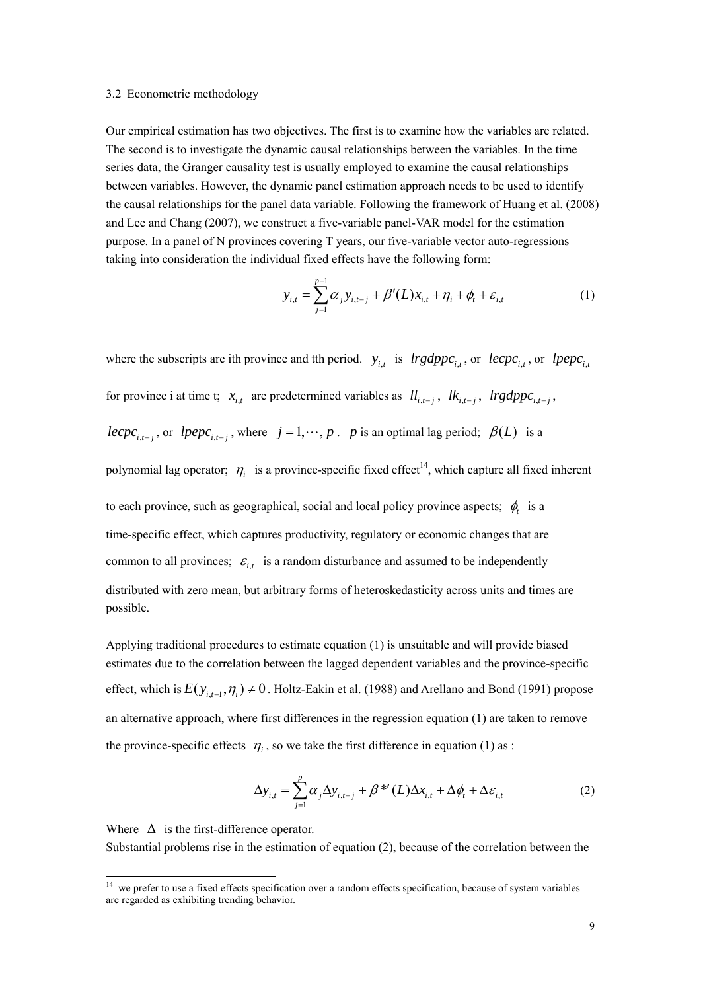#### 3.2 Econometric methodology

Our empirical estimation has two objectives. The first is to examine how the variables are related. The second is to investigate the dynamic causal relationships between the variables. In the time series data, the Granger causality test is usually employed to examine the causal relationships between variables. However, the dynamic panel estimation approach needs to be used to identify the causal relationships for the panel data variable. Following the framework of Huang et al. (2008) and Lee and Chang (2007), we construct a five-variable panel-VAR model for the estimation purpose. In a panel of N provinces covering T years, our five-variable vector auto-regressions taking into consideration the individual fixed effects have the following form:

$$
y_{i,t} = \sum_{j=1}^{p+1} \alpha_j y_{i,t-j} + \beta'(L)x_{i,t} + \eta_i + \phi_t + \varepsilon_{i,t}
$$
 (1)

where the subscripts are ith province and tth period.  $y_{i,t}$  is  $lrgdppc_{i,t}$ , or  $lepc_{i,t}$ , or  $lpepc_{i,t}$ for province i at time t;  $x_{i,t}$  are predetermined variables as  $ll_{i,t-i}$ ,  $lk_{i,t-i}$ ,  $lrgdppc_{i,t-i}$ , *iecpc*<sub>it-i</sub>, or *lpepc*<sub>it-i</sub>, where  $j = 1, \dots, p$ . *p* is an optimal lag period;  $\beta(L)$  is a polynomial lag operator;  $\eta_i$  is a province-specific fixed effect<sup>14</sup>, which capture all fixed inherent to each province, such as geographical, social and local policy province aspects;  $\phi_t$  is a time-specific effect, which captures productivity, regulatory or economic changes that are common to all provinces;  $\varepsilon_{i,t}$  is a random disturbance and assumed to be independently

distributed with zero mean, but arbitrary forms of heteroskedasticity across units and times are possible.

Applying traditional procedures to estimate equation (1) is unsuitable and will provide biased estimates due to the correlation between the lagged dependent variables and the province-specific effect, which is  $E(y_{i,t-1}, \eta_i) \neq 0$ . Holtz-Eakin et al. (1988) and Arellano and Bond (1991) propose an alternative approach, where first differences in the regression equation (1) are taken to remove the province-specific effects  $\eta_i$ , so we take the first difference in equation (1) as :

$$
\Delta y_{i,t} = \sum_{j=1}^{p} \alpha_j \Delta y_{i,t-j} + \beta^{*'}(L) \Delta x_{i,t} + \Delta \phi_t + \Delta \varepsilon_{i,t}
$$
 (2)

Where  $\Delta$  is the first-difference operator.

<u>.</u>

Substantial problems rise in the estimation of equation (2), because of the correlation between the

 $14$  we prefer to use a fixed effects specification over a random effects specification, because of system variables are regarded as exhibiting trending behavior.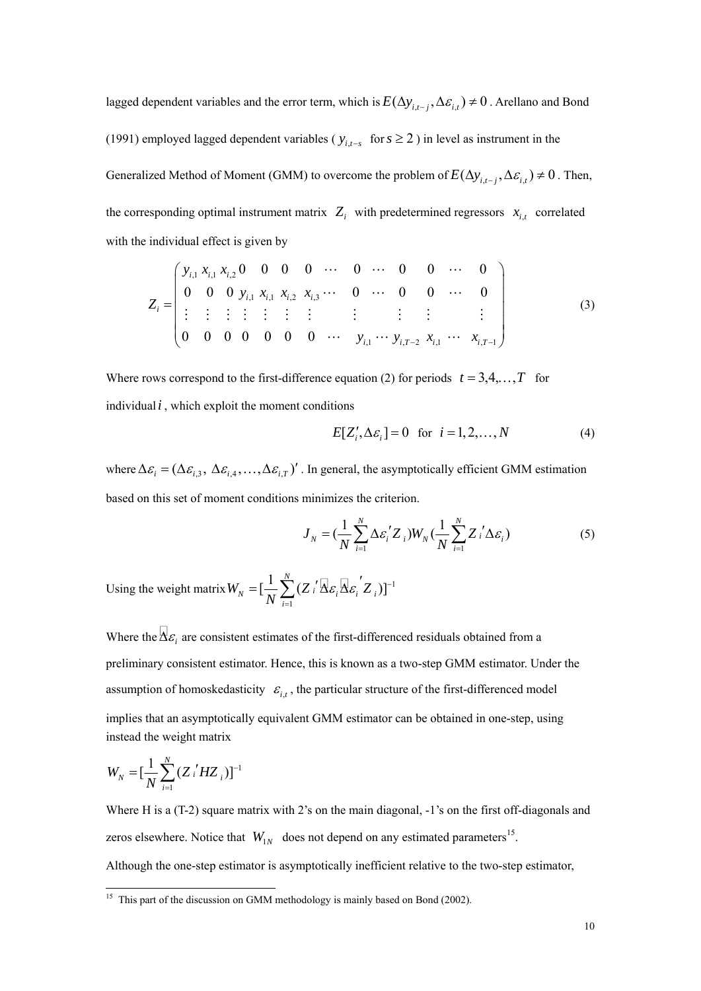lagged dependent variables and the error term, which is  $E(\Delta y_{i,t-i}, \Delta \varepsilon_{i,t}) \neq 0$ . Arellano and Bond (1991) employed lagged dependent variables ( $y_{i,t-s}$  for  $s \ge 2$ ) in level as instrument in the Generalized Method of Moment (GMM) to overcome the problem of  $E(\Delta y_{i,t-i}, \Delta \varepsilon_{i,t}) \neq 0$ . Then, the corresponding optimal instrument matrix  $Z_i$  with predetermined regressors  $x_i$  correlated with the individual effect is given by

,1 ,1 ,2 ,1 ,1 ,2 ,3 ,1 , 2 ,1 , 1 0 00 0 0 0 0 0 0 00 0 0 0 0 0 0 00 0 0 0 *iii ii i i i i iT i iT yxx yxx x <sup>Z</sup> y yx x* − − ⎛ ⎞ ⎜ ⎟ = ⎝ ⎠ LL L LL L M M MM M M M M M M M LL L (3)

Where rows correspond to the first-difference equation (2) for periods  $t = 3, 4, ..., T$  for individual  $i$ , which exploit the moment conditions

$$
E[Z'_i, \Delta \varepsilon_i] = 0 \quad \text{for} \quad i = 1, 2, \dots, N \tag{4}
$$

where  $\Delta \varepsilon_i = (\Delta \varepsilon_{i,3}, \Delta \varepsilon_{i,4}, \dots, \Delta \varepsilon_{i,T})'$ . In general, the asymptotically efficient GMM estimation based on this set of moment conditions minimizes the criterion.

$$
J_N = \left(\frac{1}{N} \sum_{i=1}^N \Delta \varepsilon_i' Z_i\right) W_N \left(\frac{1}{N} \sum_{i=1}^N Z_i' \Delta \varepsilon_i\right) \tag{5}
$$

Using the weight matrix  $W_y = [-\sum_{i=1}^{N} (Z_i^{\prime} \overline{\Delta} \varepsilon_i \overline{\Delta} \varepsilon_i^{\prime} Z_i)]^{-1}$ 1  $\left[\frac{1}{n}\sum_{i=1}^{N}(Z_{i}^{'}\overline{\Delta}_{\mathcal{E}_{i}}\overline{\Delta}_{\mathcal{E}_{i}}^{'}Z_{i})\right]$ *N*  $\mathcal{L}_N = \left[\frac{1}{N}\sum_i \sum_i X_i \mathcal{E}_i \mathcal{E}_i\right]$ *i*  $W_{N} = \left[\frac{1}{\sigma_{N}}\sum_{i}(Z_{i}^{\prime}A_{i}\mathcal{E}_{i}A_{i}\mathcal{E}_{i}Z_{i})\right]$ *N*  $\varepsilon \, \Delta \varepsilon$  Z )  $=[\frac{1}{N}\sum_{i=1}^{N}(\boldsymbol{Z}_{i}^{\ \prime}\boldsymbol{\overline{\Delta}}\boldsymbol{\varepsilon}_{i}\boldsymbol{\overline{\Delta}}\boldsymbol{\varepsilon}_{i}^{\ \prime}\boldsymbol{Z}_{i})]^{-1}$ 

Where the  $\overline{\Delta \varepsilon_i}$  are consistent estimates of the first-differenced residuals obtained from a preliminary consistent estimator. Hence, this is known as a two-step GMM estimator. Under the assumption of homoskedasticity  $\varepsilon_{i,t}$ , the particular structure of the first-differenced model implies that an asymptotically equivalent GMM estimator can be obtained in one-step, using instead the weight matrix

$$
W_{N} = \left[\frac{1}{N}\sum_{i=1}^{N}\left(Z_{i}^{'}HZ_{i}\right)\right]^{-1}
$$

-

Where H is a (T-2) square matrix with 2's on the main diagonal,  $-1$ 's on the first off-diagonals and zeros elsewhere. Notice that  $W_{1N}$  does not depend on any estimated parameters<sup>15</sup>. Although the one-step estimator is asymptotically inefficient relative to the two-step estimator,

 $15$  This part of the discussion on GMM methodology is mainly based on Bond (2002).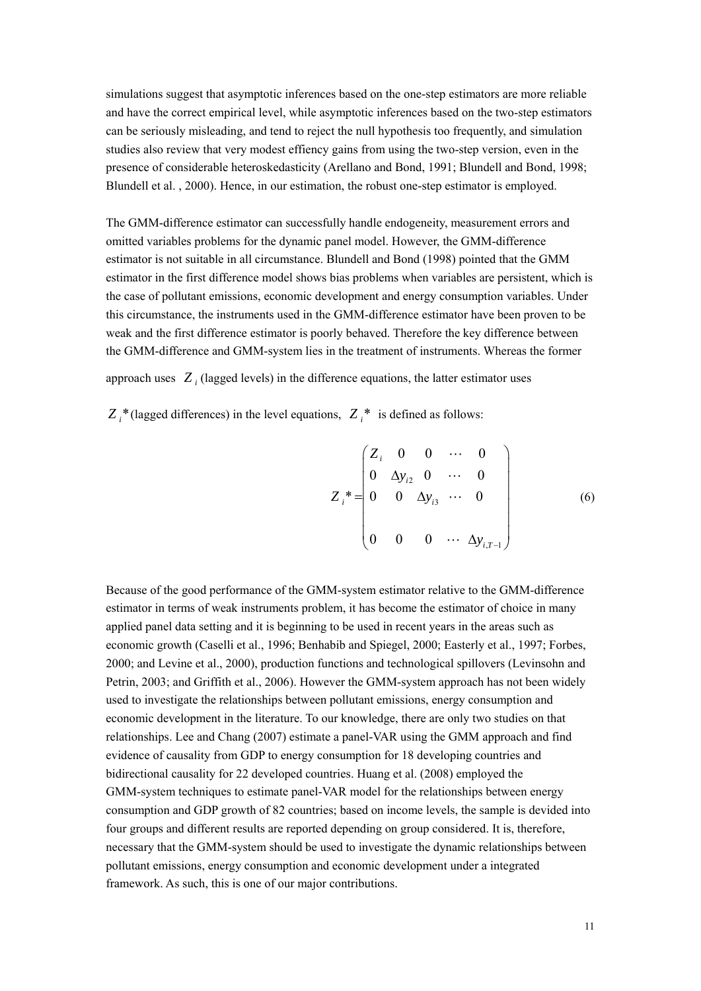simulations suggest that asymptotic inferences based on the one-step estimators are more reliable and have the correct empirical level, while asymptotic inferences based on the two-step estimators can be seriously misleading, and tend to reject the null hypothesis too frequently, and simulation studies also review that very modest effiency gains from using the two-step version, even in the presence of considerable heteroskedasticity (Arellano and Bond, 1991; Blundell and Bond, 1998; Blundell et al. , 2000). Hence, in our estimation, the robust one-step estimator is employed.

The GMM-difference estimator can successfully handle endogeneity, measurement errors and omitted variables problems for the dynamic panel model. However, the GMM-difference estimator is not suitable in all circumstance. Blundell and Bond (1998) pointed that the GMM estimator in the first difference model shows bias problems when variables are persistent, which is the case of pollutant emissions, economic development and energy consumption variables. Under this circumstance, the instruments used in the GMM-difference estimator have been proven to be weak and the first difference estimator is poorly behaved. Therefore the key difference between the GMM-difference and GMM-system lies in the treatment of instruments. Whereas the former

approach uses  $Z_i$  (lagged levels) in the difference equations, the latter estimator uses

 $Z_i^*$  (lagged differences) in the level equations,  $Z_i^*$  is defined as follows:

$$
Z_{i}^{*} = \begin{pmatrix} Z_{i} & 0 & 0 & \cdots & 0 \\ 0 & \Delta y_{i2} & 0 & \cdots & 0 \\ 0 & 0 & \Delta y_{i3} & \cdots & 0 \\ 0 & 0 & 0 & \cdots & \Delta y_{i,T-1} \end{pmatrix}
$$
(6)

Because of the good performance of the GMM-system estimator relative to the GMM-difference estimator in terms of weak instruments problem, it has become the estimator of choice in many applied panel data setting and it is beginning to be used in recent years in the areas such as economic growth (Caselli et al., 1996; Benhabib and Spiegel, 2000; Easterly et al., 1997; Forbes, 2000; and Levine et al., 2000), production functions and technological spillovers (Levinsohn and Petrin, 2003; and Griffith et al., 2006). However the GMM-system approach has not been widely used to investigate the relationships between pollutant emissions, energy consumption and economic development in the literature. To our knowledge, there are only two studies on that relationships. Lee and Chang (2007) estimate a panel-VAR using the GMM approach and find evidence of causality from GDP to energy consumption for 18 developing countries and bidirectional causality for 22 developed countries. Huang et al. (2008) employed the GMM-system techniques to estimate panel-VAR model for the relationships between energy consumption and GDP growth of 82 countries; based on income levels, the sample is devided into four groups and different results are reported depending on group considered. It is, therefore, necessary that the GMM-system should be used to investigate the dynamic relationships between pollutant emissions, energy consumption and economic development under a integrated framework. As such, this is one of our major contributions.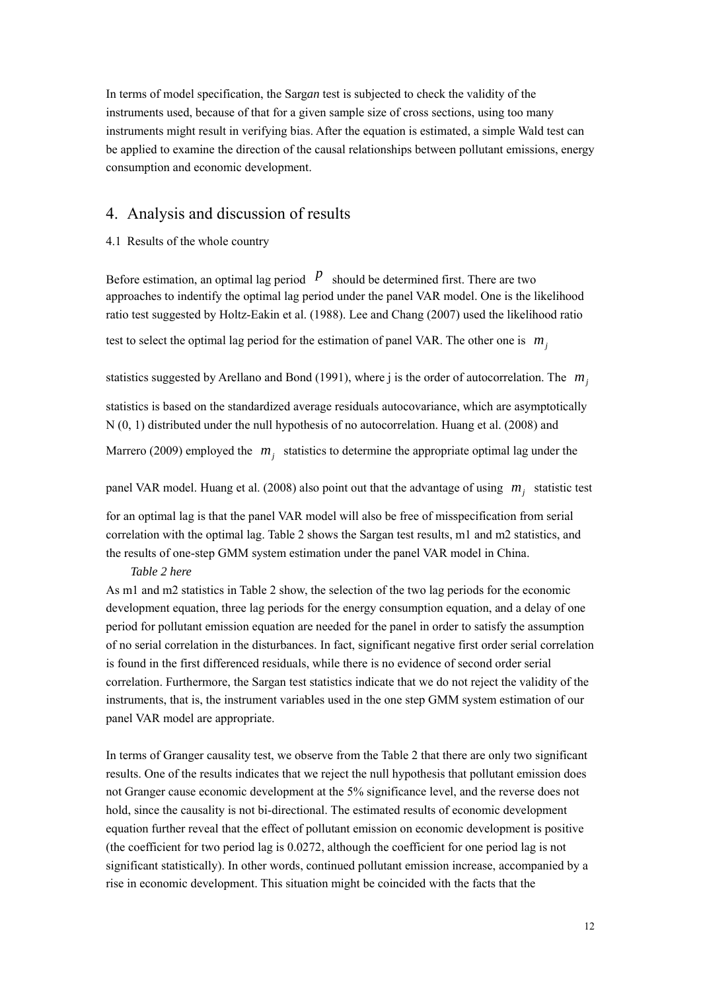In terms of model specification, the Sarg*an* test is subjected to check the validity of the instruments used, because of that for a given sample size of cross sections, using too many instruments might result in verifying bias. After the equation is estimated, a simple Wald test can be applied to examine the direction of the causal relationships between pollutant emissions, energy consumption and economic development.

## 4. Analysis and discussion of results

4.1 Results of the whole country

Before estimation, an optimal lag period  $\mathbb{P}$  should be determined first. There are two approaches to indentify the optimal lag period under the panel VAR model. One is the likelihood ratio test suggested by Holtz-Eakin et al. (1988). Lee and Chang (2007) used the likelihood ratio

test to select the optimal lag period for the estimation of panel VAR. The other one is  $m_i$ 

statistics suggested by Arellano and Bond (1991), where j is the order of autocorrelation. The  $m<sub>j</sub>$ 

statistics is based on the standardized average residuals autocovariance, which are asymptotically N (0, 1) distributed under the null hypothesis of no autocorrelation. Huang et al. (2008) and

Marrero (2009) employed the  $m<sub>j</sub>$  statistics to determine the appropriate optimal lag under the

panel VAR model. Huang et al. (2008) also point out that the advantage of using  $m_i$ , statistic test

for an optimal lag is that the panel VAR model will also be free of misspecification from serial correlation with the optimal lag. Table 2 shows the Sargan test results, m1 and m2 statistics, and the results of one-step GMM system estimation under the panel VAR model in China.

#### *Table 2 here*

As m1 and m2 statistics in Table 2 show, the selection of the two lag periods for the economic development equation, three lag periods for the energy consumption equation, and a delay of one period for pollutant emission equation are needed for the panel in order to satisfy the assumption of no serial correlation in the disturbances. In fact, significant negative first order serial correlation is found in the first differenced residuals, while there is no evidence of second order serial correlation. Furthermore, the Sargan test statistics indicate that we do not reject the validity of the instruments, that is, the instrument variables used in the one step GMM system estimation of our panel VAR model are appropriate.

In terms of Granger causality test, we observe from the Table 2 that there are only two significant results. One of the results indicates that we reject the null hypothesis that pollutant emission does not Granger cause economic development at the 5% significance level, and the reverse does not hold, since the causality is not bi-directional. The estimated results of economic development equation further reveal that the effect of pollutant emission on economic development is positive (the coefficient for two period lag is 0.0272, although the coefficient for one period lag is not significant statistically). In other words, continued pollutant emission increase, accompanied by a rise in economic development. This situation might be coincided with the facts that the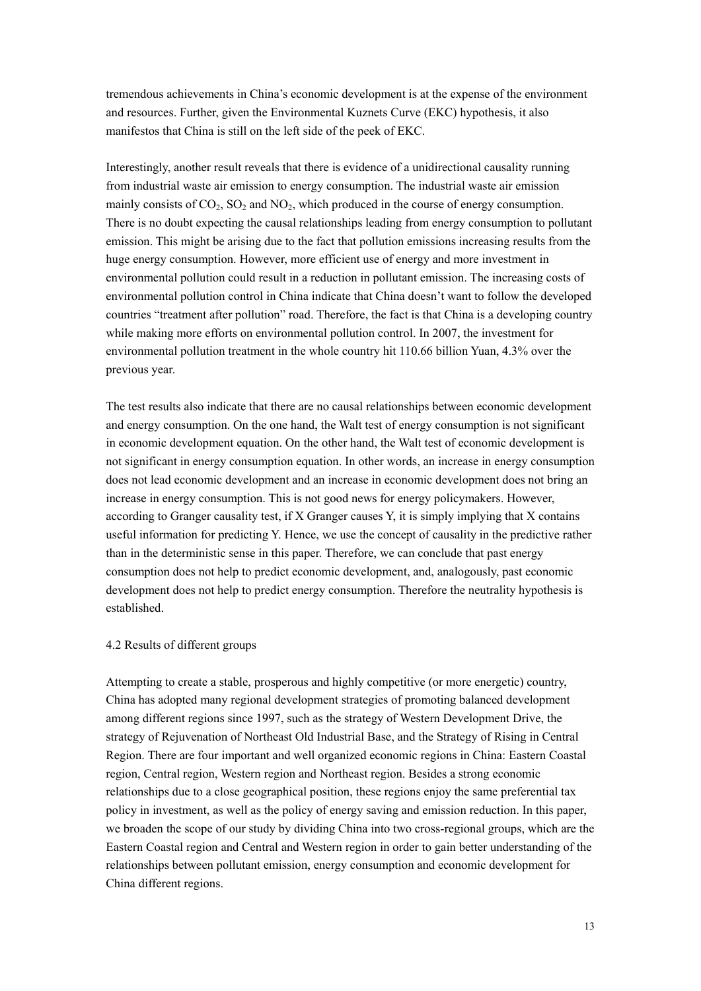tremendous achievements in China's economic development is at the expense of the environment and resources. Further, given the Environmental Kuznets Curve (EKC) hypothesis, it also manifestos that China is still on the left side of the peek of EKC.

Interestingly, another result reveals that there is evidence of a unidirectional causality running from industrial waste air emission to energy consumption. The industrial waste air emission mainly consists of  $CO<sub>2</sub>$ ,  $SO<sub>2</sub>$  and  $NO<sub>2</sub>$ , which produced in the course of energy consumption. There is no doubt expecting the causal relationships leading from energy consumption to pollutant emission. This might be arising due to the fact that pollution emissions increasing results from the huge energy consumption. However, more efficient use of energy and more investment in environmental pollution could result in a reduction in pollutant emission. The increasing costs of environmental pollution control in China indicate that China doesn't want to follow the developed countries "treatment after pollution" road. Therefore, the fact is that China is a developing country while making more efforts on environmental pollution control. In 2007, the investment for environmental pollution treatment in the whole country hit 110.66 billion Yuan, 4.3% over the previous year.

The test results also indicate that there are no causal relationships between economic development and energy consumption. On the one hand, the Walt test of energy consumption is not significant in economic development equation. On the other hand, the Walt test of economic development is not significant in energy consumption equation. In other words, an increase in energy consumption does not lead economic development and an increase in economic development does not bring an increase in energy consumption. This is not good news for energy policymakers. However, according to Granger causality test, if X Granger causes Y, it is simply implying that X contains useful information for predicting Y. Hence, we use the concept of causality in the predictive rather than in the deterministic sense in this paper. Therefore, we can conclude that past energy consumption does not help to predict economic development, and, analogously, past economic development does not help to predict energy consumption. Therefore the neutrality hypothesis is established.

#### 4.2 Results of different groups

Attempting to create a stable, prosperous and highly competitive (or more energetic) country, China has adopted many regional development strategies of promoting balanced development among different regions since 1997, such as the strategy of Western Development Drive, the strategy of Rejuvenation of Northeast Old Industrial Base, and the Strategy of Rising in Central Region. There are four important and well organized economic regions in China: Eastern Coastal region, Central region, Western region and Northeast region. Besides a strong economic relationships due to a close geographical position, these regions enjoy the same preferential tax policy in investment, as well as the policy of energy saving and emission reduction. In this paper, we broaden the scope of our study by dividing China into two cross-regional groups, which are the Eastern Coastal region and Central and Western region in order to gain better understanding of the relationships between pollutant emission, energy consumption and economic development for China different regions.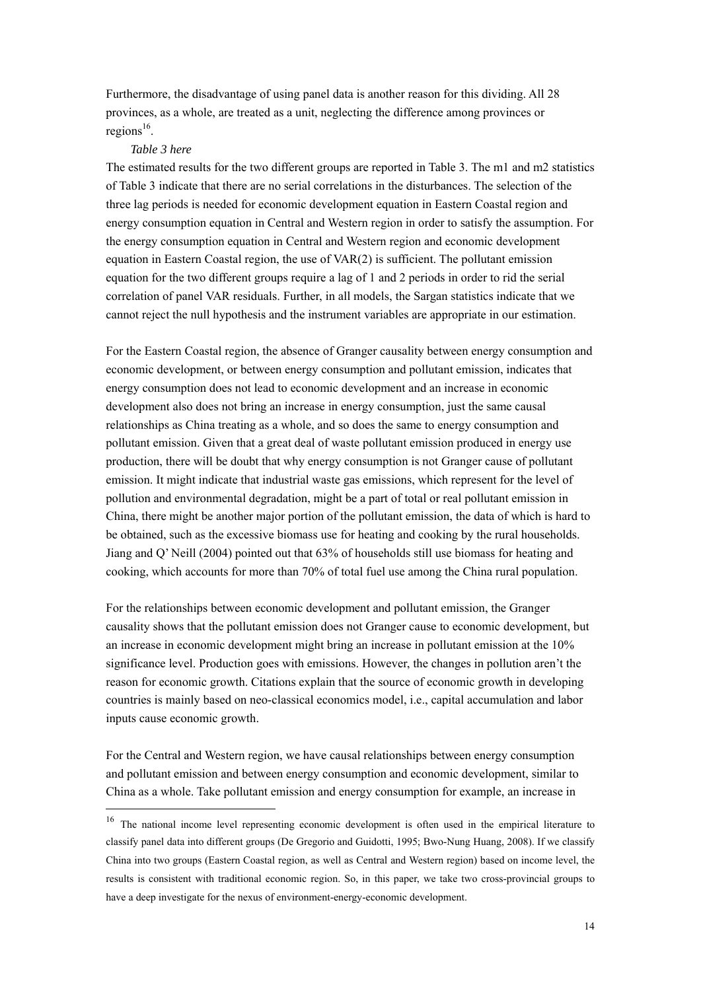Furthermore, the disadvantage of using panel data is another reason for this dividing. All 28 provinces, as a whole, are treated as a unit, neglecting the difference among provinces or regions $^{16}$ .

### *Table 3 here*

<u>.</u>

The estimated results for the two different groups are reported in Table 3. The m1 and m2 statistics of Table 3 indicate that there are no serial correlations in the disturbances. The selection of the three lag periods is needed for economic development equation in Eastern Coastal region and energy consumption equation in Central and Western region in order to satisfy the assumption. For the energy consumption equation in Central and Western region and economic development equation in Eastern Coastal region, the use of VAR(2) is sufficient. The pollutant emission equation for the two different groups require a lag of 1 and 2 periods in order to rid the serial correlation of panel VAR residuals. Further, in all models, the Sargan statistics indicate that we cannot reject the null hypothesis and the instrument variables are appropriate in our estimation.

For the Eastern Coastal region, the absence of Granger causality between energy consumption and economic development, or between energy consumption and pollutant emission, indicates that energy consumption does not lead to economic development and an increase in economic development also does not bring an increase in energy consumption, just the same causal relationships as China treating as a whole, and so does the same to energy consumption and pollutant emission. Given that a great deal of waste pollutant emission produced in energy use production, there will be doubt that why energy consumption is not Granger cause of pollutant emission. It might indicate that industrial waste gas emissions, which represent for the level of pollution and environmental degradation, might be a part of total or real pollutant emission in China, there might be another major portion of the pollutant emission, the data of which is hard to be obtained, such as the excessive biomass use for heating and cooking by the rural households. Jiang and Q' Neill (2004) pointed out that 63% of households still use biomass for heating and cooking, which accounts for more than 70% of total fuel use among the China rural population.

For the relationships between economic development and pollutant emission, the Granger causality shows that the pollutant emission does not Granger cause to economic development, but an increase in economic development might bring an increase in pollutant emission at the 10% significance level. Production goes with emissions. However, the changes in pollution aren't the reason for economic growth. Citations explain that the source of economic growth in developing countries is mainly based on neo-classical economics model, i.e., capital accumulation and labor inputs cause economic growth.

For the Central and Western region, we have causal relationships between energy consumption and pollutant emission and between energy consumption and economic development, similar to China as a whole. Take pollutant emission and energy consumption for example, an increase in

<sup>&</sup>lt;sup>16</sup> The national income level representing economic development is often used in the empirical literature to classify panel data into different groups (De Gregorio and Guidotti, 1995; Bwo-Nung Huang, 2008). If we classify China into two groups (Eastern Coastal region, as well as Central and Western region) based on income level, the results is consistent with traditional economic region. So, in this paper, we take two cross-provincial groups to have a deep investigate for the nexus of environment-energy-economic development.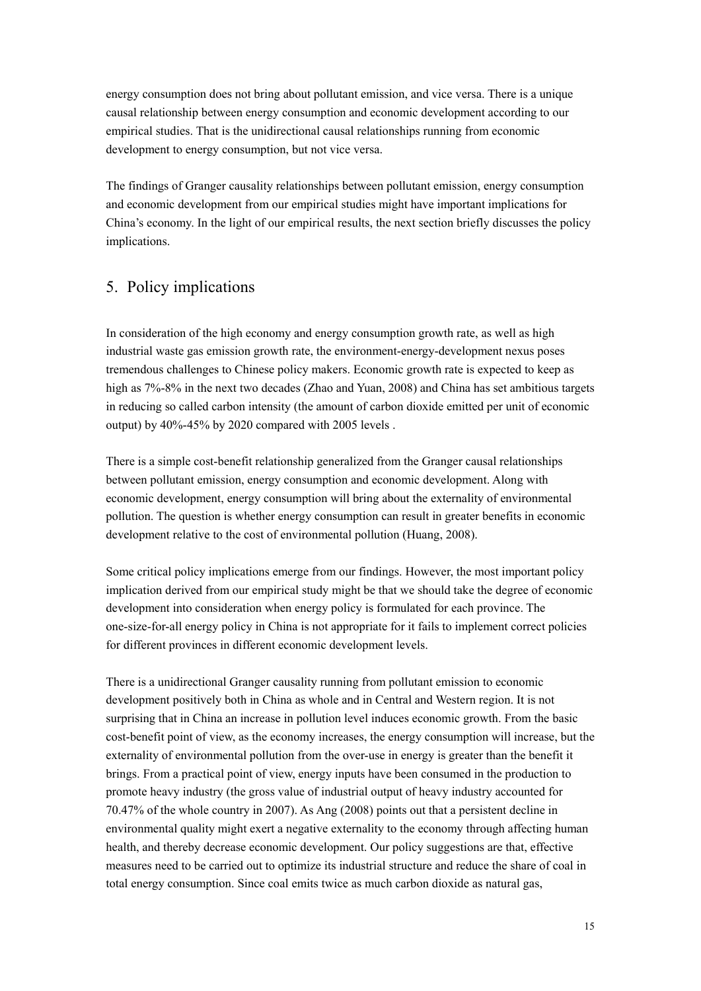energy consumption does not bring about pollutant emission, and vice versa. There is a unique causal relationship between energy consumption and economic development according to our empirical studies. That is the unidirectional causal relationships running from economic development to energy consumption, but not vice versa.

The findings of Granger causality relationships between pollutant emission, energy consumption and economic development from our empirical studies might have important implications for China's economy. In the light of our empirical results, the next section briefly discusses the policy implications.

# 5. Policy implications

In consideration of the high economy and energy consumption growth rate, as well as high industrial waste gas emission growth rate, the environment-energy-development nexus poses tremendous challenges to Chinese policy makers. Economic growth rate is expected to keep as high as  $7\% - 8\%$  in the next two decades (Zhao and Yuan, 2008) and China has set ambitious targets in reducing so called carbon intensity (the amount of carbon dioxide emitted per unit of economic output) by 40%-45% by 2020 compared with 2005 levels .

There is a simple cost-benefit relationship generalized from the Granger causal relationships between pollutant emission, energy consumption and economic development. Along with economic development, energy consumption will bring about the externality of environmental pollution. The question is whether energy consumption can result in greater benefits in economic development relative to the cost of environmental pollution (Huang, 2008).

Some critical policy implications emerge from our findings. However, the most important policy implication derived from our empirical study might be that we should take the degree of economic development into consideration when energy policy is formulated for each province. The one-size-for-all energy policy in China is not appropriate for it fails to implement correct policies for different provinces in different economic development levels.

There is a unidirectional Granger causality running from pollutant emission to economic development positively both in China as whole and in Central and Western region. It is not surprising that in China an increase in pollution level induces economic growth. From the basic cost-benefit point of view, as the economy increases, the energy consumption will increase, but the externality of environmental pollution from the over-use in energy is greater than the benefit it brings. From a practical point of view, energy inputs have been consumed in the production to promote heavy industry (the gross value of industrial output of heavy industry accounted for 70.47% of the whole country in 2007). As Ang (2008) points out that a persistent decline in environmental quality might exert a negative externality to the economy through affecting human health, and thereby decrease economic development. Our policy suggestions are that, effective measures need to be carried out to optimize its industrial structure and reduce the share of coal in total energy consumption. Since coal emits twice as much carbon dioxide as natural gas,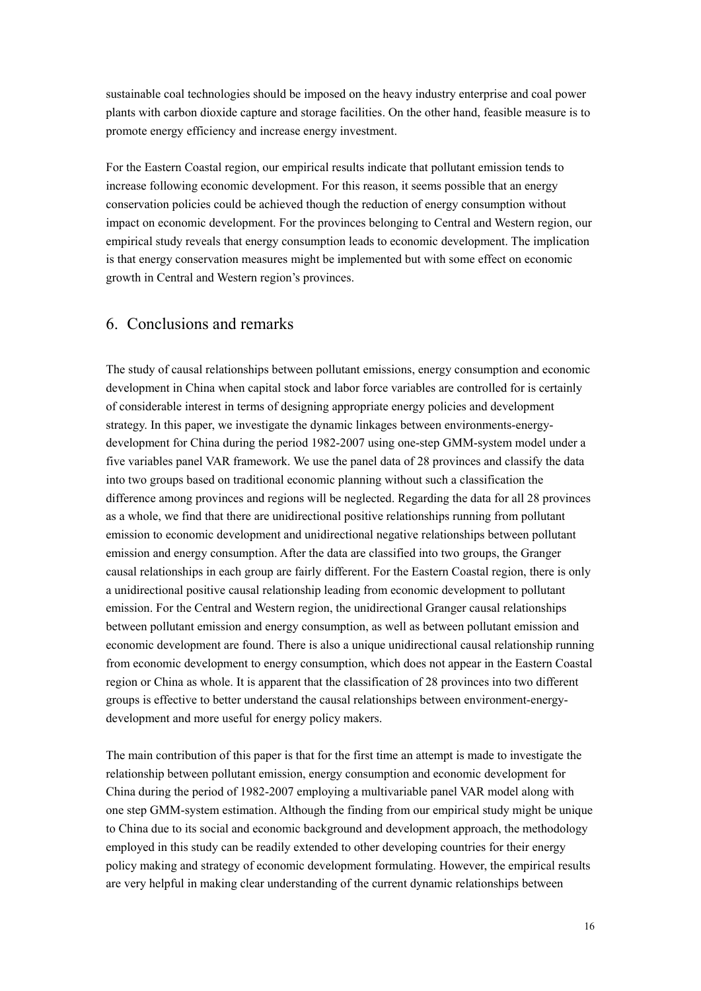sustainable coal technologies should be imposed on the heavy industry enterprise and coal power plants with carbon dioxide capture and storage facilities. On the other hand, feasible measure is to promote energy efficiency and increase energy investment.

For the Eastern Coastal region, our empirical results indicate that pollutant emission tends to increase following economic development. For this reason, it seems possible that an energy conservation policies could be achieved though the reduction of energy consumption without impact on economic development. For the provinces belonging to Central and Western region, our empirical study reveals that energy consumption leads to economic development. The implication is that energy conservation measures might be implemented but with some effect on economic growth in Central and Western region's provinces.

## 6. Conclusions and remarks

The study of causal relationships between pollutant emissions, energy consumption and economic development in China when capital stock and labor force variables are controlled for is certainly of considerable interest in terms of designing appropriate energy policies and development strategy. In this paper, we investigate the dynamic linkages between environments-energydevelopment for China during the period 1982-2007 using one-step GMM-system model under a five variables panel VAR framework. We use the panel data of 28 provinces and classify the data into two groups based on traditional economic planning without such a classification the difference among provinces and regions will be neglected. Regarding the data for all 28 provinces as a whole, we find that there are unidirectional positive relationships running from pollutant emission to economic development and unidirectional negative relationships between pollutant emission and energy consumption. After the data are classified into two groups, the Granger causal relationships in each group are fairly different. For the Eastern Coastal region, there is only a unidirectional positive causal relationship leading from economic development to pollutant emission. For the Central and Western region, the unidirectional Granger causal relationships between pollutant emission and energy consumption, as well as between pollutant emission and economic development are found. There is also a unique unidirectional causal relationship running from economic development to energy consumption, which does not appear in the Eastern Coastal region or China as whole. It is apparent that the classification of 28 provinces into two different groups is effective to better understand the causal relationships between environment-energydevelopment and more useful for energy policy makers.

The main contribution of this paper is that for the first time an attempt is made to investigate the relationship between pollutant emission, energy consumption and economic development for China during the period of 1982-2007 employing a multivariable panel VAR model along with one step GMM-system estimation. Although the finding from our empirical study might be unique to China due to its social and economic background and development approach, the methodology employed in this study can be readily extended to other developing countries for their energy policy making and strategy of economic development formulating. However, the empirical results are very helpful in making clear understanding of the current dynamic relationships between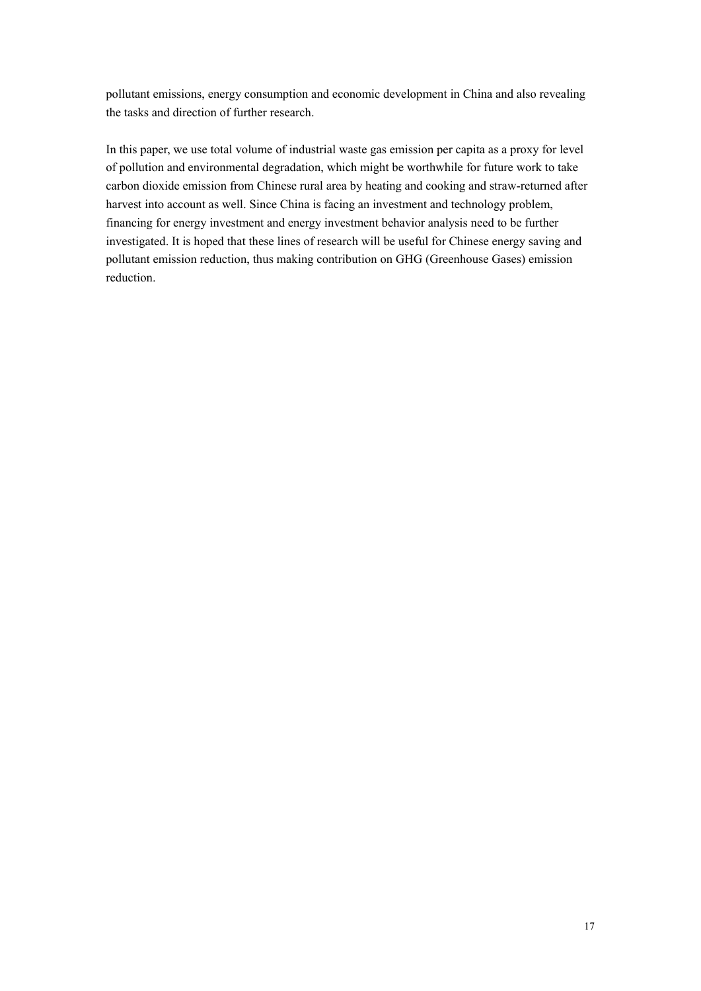pollutant emissions, energy consumption and economic development in China and also revealing the tasks and direction of further research.

In this paper, we use total volume of industrial waste gas emission per capita as a proxy for level of pollution and environmental degradation, which might be worthwhile for future work to take carbon dioxide emission from Chinese rural area by heating and cooking and straw-returned after harvest into account as well. Since China is facing an investment and technology problem, financing for energy investment and energy investment behavior analysis need to be further investigated. It is hoped that these lines of research will be useful for Chinese energy saving and pollutant emission reduction, thus making contribution on GHG (Greenhouse Gases) emission reduction.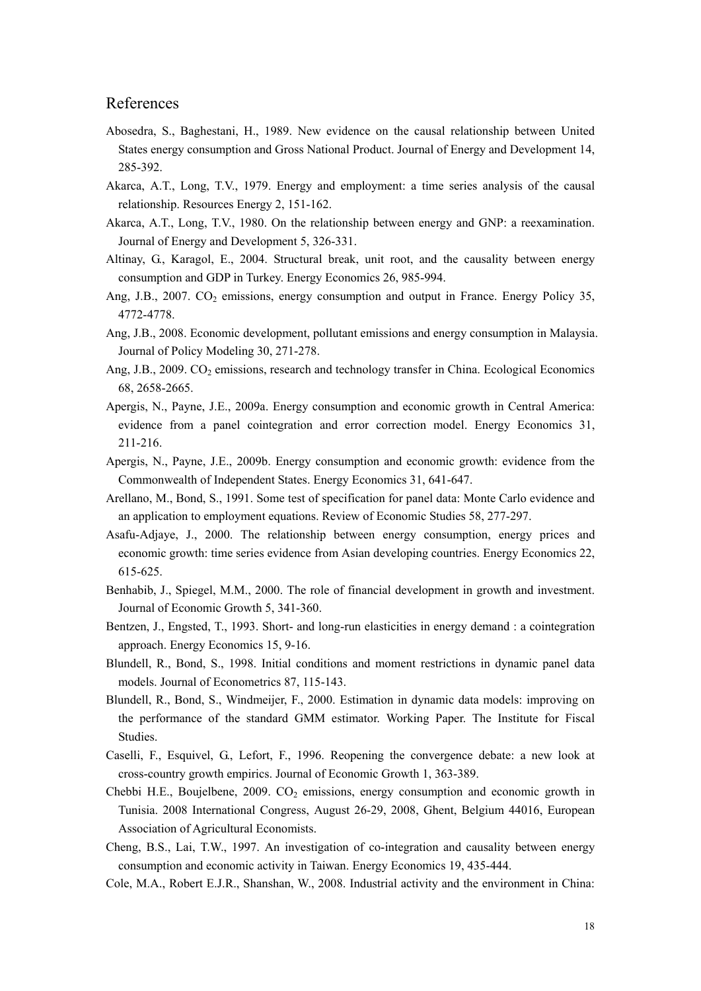## References

- Abosedra, S., Baghestani, H., 1989. New evidence on the causal relationship between United States energy consumption and Gross National Product. Journal of Energy and Development 14, 285-392.
- Akarca, A.T., Long, T.V., 1979. Energy and employment: a time series analysis of the causal relationship. Resources Energy 2, 151-162.
- Akarca, A.T., Long, T.V., 1980. On the relationship between energy and GNP: a reexamination. Journal of Energy and Development 5, 326-331.
- Altinay, G., Karagol, E., 2004. Structural break, unit root, and the causality between energy consumption and GDP in Turkey. Energy Economics 26, 985-994.
- Ang, J.B., 2007.  $CO_2$  emissions, energy consumption and output in France. Energy Policy 35, 4772-4778.
- Ang, J.B., 2008. Economic development, pollutant emissions and energy consumption in Malaysia. Journal of Policy Modeling 30, 271-278.
- Ang, J.B., 2009. CO<sub>2</sub> emissions, research and technology transfer in China. Ecological Economics 68, 2658-2665.
- Apergis, N., Payne, J.E., 2009a. Energy consumption and economic growth in Central America: evidence from a panel cointegration and error correction model. Energy Economics 31, 211-216.
- Apergis, N., Payne, J.E., 2009b. Energy consumption and economic growth: evidence from the Commonwealth of Independent States. Energy Economics 31, 641-647.
- Arellano, M., Bond, S., 1991. Some test of specification for panel data: Monte Carlo evidence and an application to employment equations. Review of Economic Studies 58, 277-297.
- Asafu-Adjaye, J., 2000. The relationship between energy consumption, energy prices and economic growth: time series evidence from Asian developing countries. Energy Economics 22, 615-625.
- Benhabib, J., Spiegel, M.M., 2000. The role of financial development in growth and investment. Journal of Economic Growth 5, 341-360.
- Bentzen, J., Engsted, T., 1993. Short- and long-run elasticities in energy demand : a cointegration approach. Energy Economics 15, 9-16.
- Blundell, R., Bond, S., 1998. Initial conditions and moment restrictions in dynamic panel data models. Journal of Econometrics 87, 115-143.
- Blundell, R., Bond, S., Windmeijer, F., 2000. Estimation in dynamic data models: improving on the performance of the standard GMM estimator. Working Paper. The Institute for Fiscal Studies.
- Caselli, F., Esquivel, G., Lefort, F., 1996. Reopening the convergence debate: a new look at cross-country growth empirics. Journal of Economic Growth 1, 363-389.
- Chebbi H.E., Boujelbene,  $2009$ .  $CO<sub>2</sub>$  emissions, energy consumption and economic growth in Tunisia. 2008 International Congress, August 26-29, 2008, Ghent, Belgium 44016, European Association of Agricultural Economists.
- Cheng, B.S., Lai, T.W., 1997. An investigation of co-integration and causality between energy consumption and economic activity in Taiwan. Energy Economics 19, 435-444.
- Cole, M.A., Robert E.J.R., Shanshan, W., 2008. Industrial activity and the environment in China: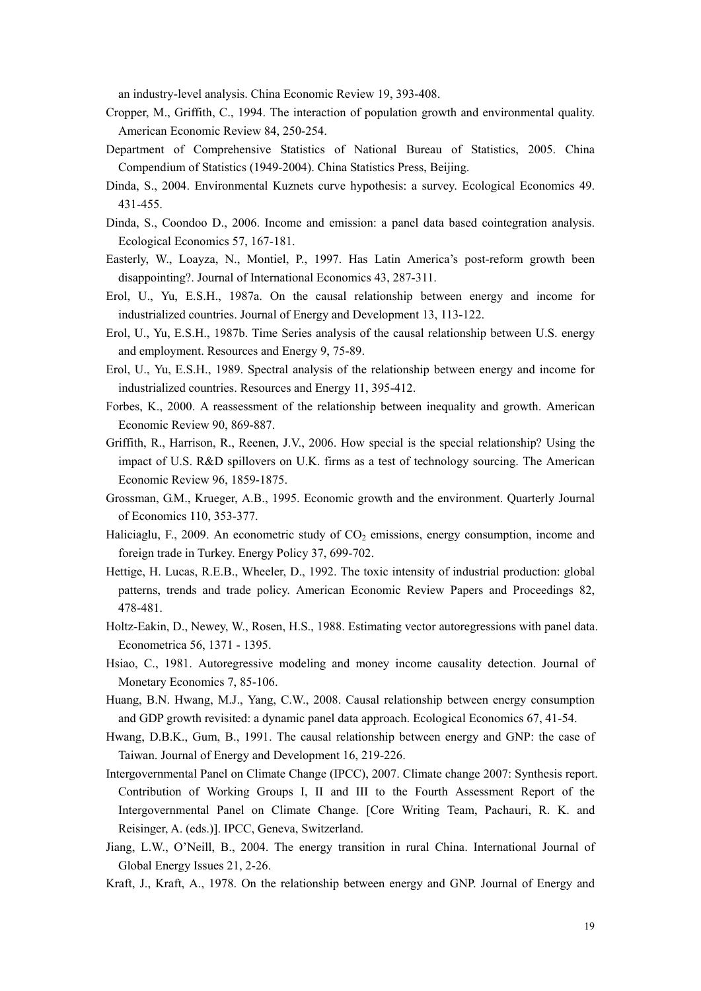an industry-level analysis. China Economic Review 19, 393-408.

- Cropper, M., Griffith, C., 1994. The interaction of population growth and environmental quality. American Economic Review 84, 250-254.
- Department of Comprehensive Statistics of National Bureau of Statistics, 2005. China Compendium of Statistics (1949-2004). China Statistics Press, Beijing.
- Dinda, S., 2004. Environmental Kuznets curve hypothesis: a survey. Ecological Economics 49. 431-455.
- Dinda, S., Coondoo D., 2006. Income and emission: a panel data based cointegration analysis. Ecological Economics 57, 167-181.
- Easterly, W., Loayza, N., Montiel, P., 1997. Has Latin America's post-reform growth been disappointing?. Journal of International Economics 43, 287-311.
- Erol, U., Yu, E.S.H., 1987a. On the causal relationship between energy and income for industrialized countries. Journal of Energy and Development 13, 113-122.
- Erol, U., Yu, E.S.H., 1987b. Time Series analysis of the causal relationship between U.S. energy and employment. Resources and Energy 9, 75-89.
- Erol, U., Yu, E.S.H., 1989. Spectral analysis of the relationship between energy and income for industrialized countries. Resources and Energy 11, 395-412.
- Forbes, K., 2000. A reassessment of the relationship between inequality and growth. American Economic Review 90, 869-887.
- Griffith, R., Harrison, R., Reenen, J.V., 2006. How special is the special relationship? Using the impact of U.S. R&D spillovers on U.K. firms as a test of technology sourcing. The American Economic Review 96, 1859-1875.
- Grossman, G.M., Krueger, A.B., 1995. Economic growth and the environment. Quarterly Journal of Economics 110, 353-377.
- Haliciaglu, F., 2009. An econometric study of  $CO<sub>2</sub>$  emissions, energy consumption, income and foreign trade in Turkey. Energy Policy 37, 699-702.
- Hettige, H. Lucas, R.E.B., Wheeler, D., 1992. The toxic intensity of industrial production: global patterns, trends and trade policy. American Economic Review Papers and Proceedings 82, 478-481.
- Holtz-Eakin, D., Newey, W., Rosen, H.S., 1988. Estimating vector autoregressions with panel data. Econometrica 56, 1371 - 1395.
- Hsiao, C., 1981. Autoregressive modeling and money income causality detection. Journal of Monetary Economics 7, 85-106.
- Huang, B.N. Hwang, M.J., Yang, C.W., 2008. Causal relationship between energy consumption and GDP growth revisited: a dynamic panel data approach. Ecological Economics 67, 41-54.
- Hwang, D.B.K., Gum, B., 1991. The causal relationship between energy and GNP: the case of Taiwan. Journal of Energy and Development 16, 219-226.
- Intergovernmental Panel on Climate Change (IPCC), 2007. Climate change 2007: Synthesis report. Contribution of Working Groups I, II and III to the Fourth Assessment Report of the Intergovernmental Panel on Climate Change. [Core Writing Team, Pachauri, R. K. and Reisinger, A. (eds.)]. IPCC, Geneva, Switzerland.
- Jiang, L.W., O'Neill, B., 2004. The energy transition in rural China. International Journal of Global Energy Issues 21, 2-26.
- Kraft, J., Kraft, A., 1978. On the relationship between energy and GNP. Journal of Energy and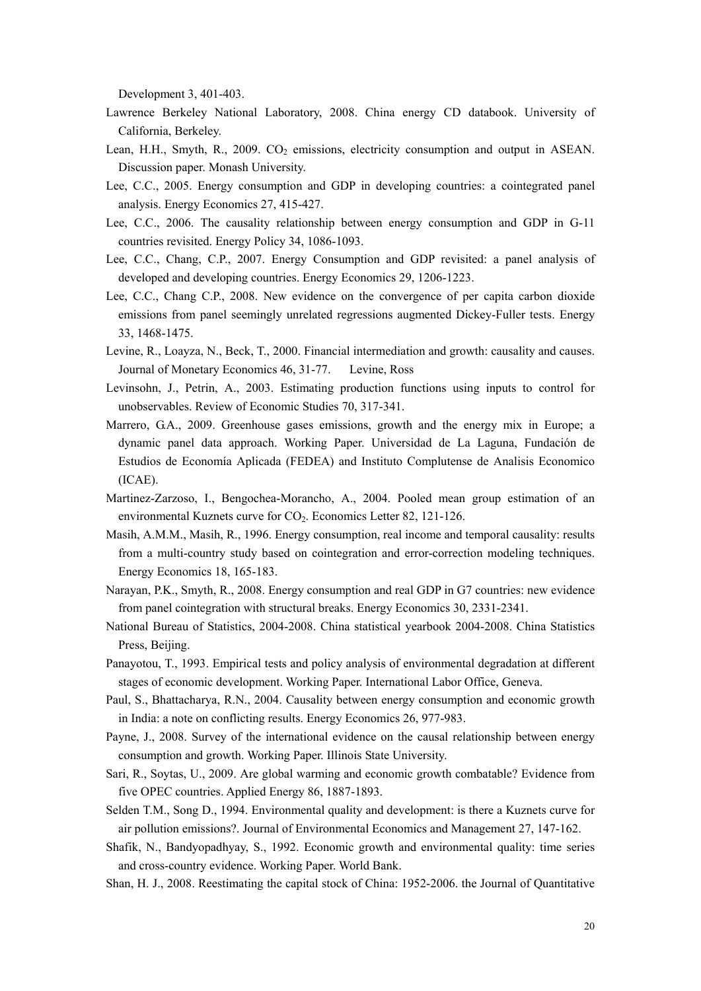Development 3, 401-403.

- Lawrence Berkeley National Laboratory, 2008. China energy CD databook. University of California, Berkeley.
- Lean, H.H., Smyth, R., 2009. CO<sub>2</sub> emissions, electricity consumption and output in ASEAN. Discussion paper. Monash University.
- Lee, C.C., 2005. Energy consumption and GDP in developing countries: a cointegrated panel analysis. Energy Economics 27, 415-427.
- Lee, C.C., 2006. The causality relationship between energy consumption and GDP in G-11 countries revisited. Energy Policy 34, 1086-1093.
- Lee, C.C., Chang, C.P., 2007. Energy Consumption and GDP revisited: a panel analysis of developed and developing countries. Energy Economics 29, 1206-1223.
- Lee, C.C., Chang C.P., 2008. New evidence on the convergence of per capita carbon dioxide emissions from panel seemingly unrelated regressions augmented Dickey-Fuller tests. Energy 33, 1468-1475.
- Levine, R., Loayza, N., Beck, T., 2000. Financial intermediation and growth: causality and causes. Journal of Monetary Economics 46, 31-77. Levine, Ross
- Levinsohn, J., Petrin, A., 2003. Estimating production functions using inputs to control for unobservables. Review of Economic Studies 70, 317-341.
- Marrero, G.A., 2009. Greenhouse gases emissions, growth and the energy mix in Europe; a dynamic panel data approach. Working Paper. Universidad de La Laguna, Fundación de Estudios de Economía Aplicada (FEDEA) and Instituto Complutense de Analisis Economico (ICAE).
- Martinez-Zarzoso, I., Bengochea-Morancho, A., 2004. Pooled mean group estimation of an environmental Kuznets curve for CO<sub>2</sub>. Economics Letter 82, 121-126.
- Masih, A.M.M., Masih, R., 1996. Energy consumption, real income and temporal causality: results from a multi-country study based on cointegration and error-correction modeling techniques. Energy Economics 18, 165-183.
- Narayan, P.K., Smyth, R., 2008. Energy consumption and real GDP in G7 countries: new evidence from panel cointegration with structural breaks. Energy Economics 30, 2331-2341.
- National Bureau of Statistics, 2004-2008. China statistical yearbook 2004-2008. China Statistics Press, Beijing.
- Panayotou, T., 1993. Empirical tests and policy analysis of environmental degradation at different stages of economic development. Working Paper. International Labor Office, Geneva.
- Paul, S., Bhattacharya, R.N., 2004. Causality between energy consumption and economic growth in India: a note on conflicting results. Energy Economics 26, 977-983.
- Payne, J., 2008. Survey of the international evidence on the causal relationship between energy consumption and growth. Working Paper. Illinois State University.
- Sari, R., Soytas, U., 2009. Are global warming and economic growth combatable? Evidence from five OPEC countries. Applied Energy 86, 1887-1893.
- Selden T.M., Song D., 1994. Environmental quality and development: is there a Kuznets curve for air pollution emissions?. Journal of Environmental Economics and Management 27, 147-162.
- Shafik, N., Bandyopadhyay, S., 1992. Economic growth and environmental quality: time series and cross-country evidence. Working Paper. World Bank.
- Shan, H. J., 2008. Reestimating the capital stock of China: 1952-2006. the Journal of Quantitative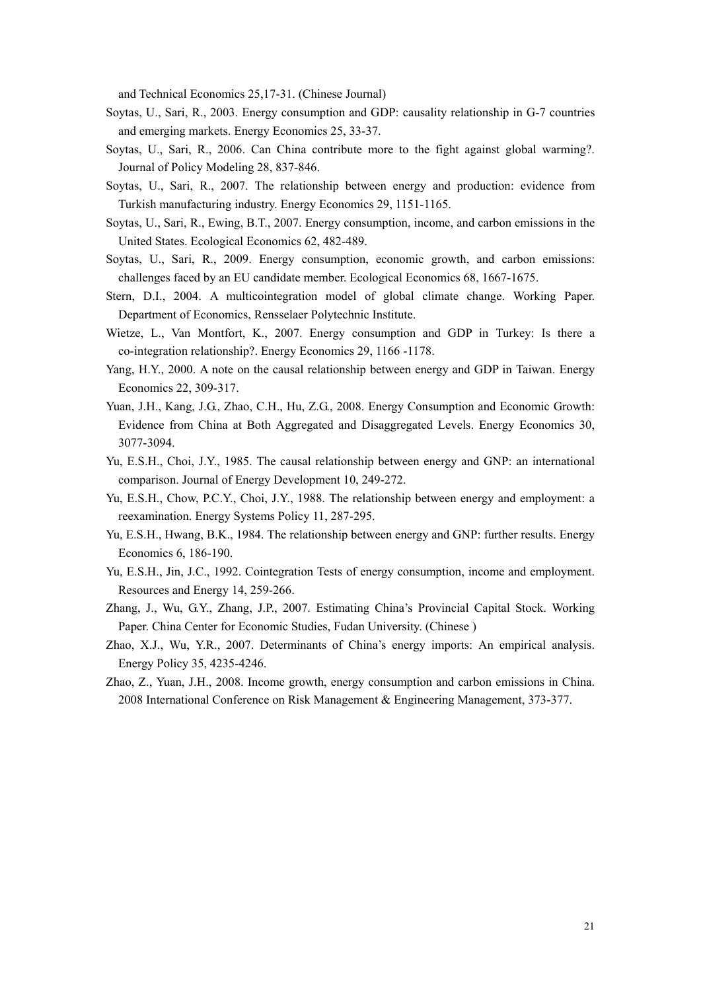and Technical Economics 25,17-31. (Chinese Journal)

- Soytas, U., Sari, R., 2003. Energy consumption and GDP: causality relationship in G-7 countries and emerging markets. Energy Economics 25, 33-37.
- Soytas, U., Sari, R., 2006. Can China contribute more to the fight against global warming?. Journal of Policy Modeling 28, 837-846.
- Soytas, U., Sari, R., 2007. The relationship between energy and production: evidence from Turkish manufacturing industry. Energy Economics 29, 1151-1165.
- Soytas, U., Sari, R., Ewing, B.T., 2007. Energy consumption, income, and carbon emissions in the United States. Ecological Economics 62, 482-489.
- Soytas, U., Sari, R., 2009. Energy consumption, economic growth, and carbon emissions: challenges faced by an EU candidate member. Ecological Economics 68, 1667-1675.
- Stern, D.I., 2004. A multicointegration model of global climate change. Working Paper. Department of Economics, Rensselaer Polytechnic Institute.
- Wietze, L., Van Montfort, K., 2007. Energy consumption and GDP in Turkey: Is there a co-integration relationship?. Energy Economics 29, 1166 -1178.
- Yang, H.Y., 2000. A note on the causal relationship between energy and GDP in Taiwan. Energy Economics 22, 309-317.
- Yuan, J.H., Kang, J.G., Zhao, C.H., Hu, Z.G., 2008. Energy Consumption and Economic Growth: Evidence from China at Both Aggregated and Disaggregated Levels. Energy Economics 30, 3077-3094.
- Yu, E.S.H., Choi, J.Y., 1985. The causal relationship between energy and GNP: an international comparison. Journal of Energy Development 10, 249-272.
- Yu, E.S.H., Chow, P.C.Y., Choi, J.Y., 1988. The relationship between energy and employment: a reexamination. Energy Systems Policy 11, 287-295.
- Yu, E.S.H., Hwang, B.K., 1984. The relationship between energy and GNP: further results. Energy Economics 6, 186-190.
- Yu, E.S.H., Jin, J.C., 1992. Cointegration Tests of energy consumption, income and employment. Resources and Energy 14, 259-266.
- Zhang, J., Wu, G.Y., Zhang, J.P., 2007. Estimating China's Provincial Capital Stock. Working Paper. China Center for Economic Studies, Fudan University. (Chinese )
- Zhao, X.J., Wu, Y.R., 2007. Determinants of China's energy imports: An empirical analysis. Energy Policy 35, 4235-4246.
- Zhao, Z., Yuan, J.H., 2008. Income growth, energy consumption and carbon emissions in China. 2008 International Conference on Risk Management & Engineering Management, 373-377.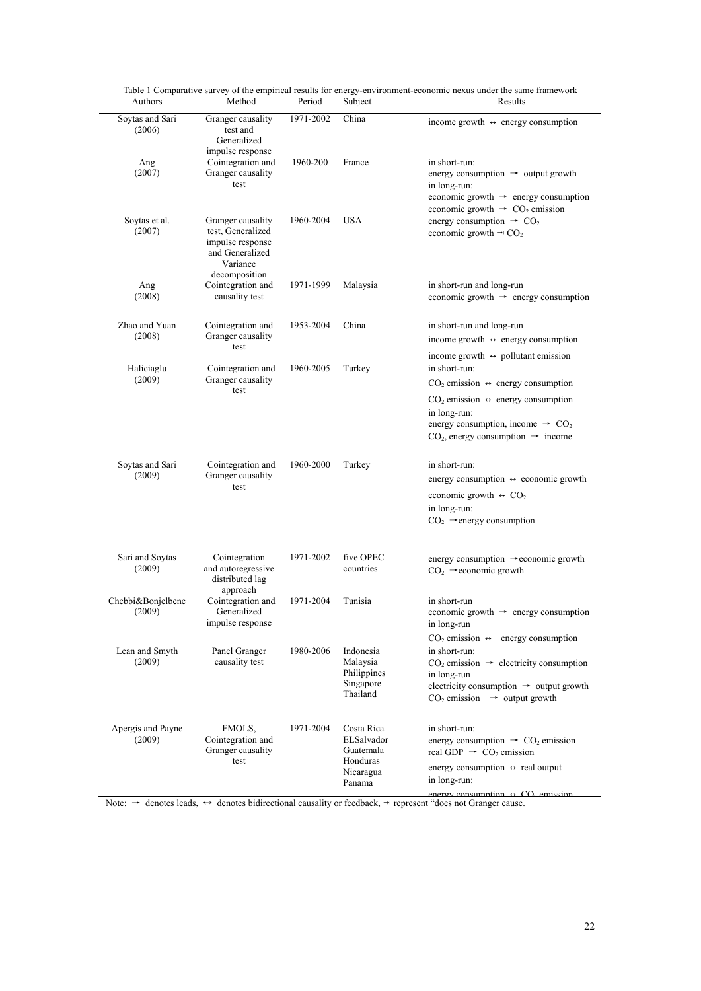| Soytas and Sari             | Granger causality                                                                         | 1971-2002 | China                                                      |                                                                                                                                                                                    |  |  |
|-----------------------------|-------------------------------------------------------------------------------------------|-----------|------------------------------------------------------------|------------------------------------------------------------------------------------------------------------------------------------------------------------------------------------|--|--|
| (2006)                      | test and<br>Generalized                                                                   |           |                                                            | income growth $\leftrightarrow$ energy consumption                                                                                                                                 |  |  |
| Ang<br>(2007)               | impulse response<br>Cointegration and<br>Granger causality                                | 1960-200  | France                                                     | in short-run:<br>energy consumption $\rightarrow$ output growth                                                                                                                    |  |  |
|                             | test                                                                                      |           |                                                            | in long-run:<br>economic growth $\rightarrow$ energy consumption<br>economic growth $\rightarrow$ CO <sub>2</sub> emission                                                         |  |  |
| Soytas et al.<br>(2007)     | Granger causality<br>test. Generalized<br>impulse response<br>and Generalized<br>Variance | 1960-2004 | <b>USA</b>                                                 | energy consumption $\rightarrow$ CO <sub>2</sub><br>economic growth $\rightarrow$ CO <sub>2</sub>                                                                                  |  |  |
| Ang                         | decomposition<br>Cointegration and                                                        | 1971-1999 | Malaysia                                                   | in short-run and long-run                                                                                                                                                          |  |  |
| (2008)                      | causality test                                                                            |           |                                                            | economic growth $\rightarrow$ energy consumption                                                                                                                                   |  |  |
| Zhao and Yuan<br>(2008)     | Cointegration and<br>Granger causality                                                    | 1953-2004 | China                                                      | in short-run and long-run                                                                                                                                                          |  |  |
|                             | test                                                                                      |           |                                                            | income growth $\leftrightarrow$ energy consumption                                                                                                                                 |  |  |
| Haliciaglu<br>(2009)        | Cointegration and<br>Granger causality<br>test                                            | 1960-2005 | Turkey                                                     | income growth $\leftrightarrow$ pollutant emission<br>in short-run:                                                                                                                |  |  |
|                             |                                                                                           |           |                                                            | $CO2$ emission $\leftrightarrow$ energy consumption                                                                                                                                |  |  |
|                             |                                                                                           |           |                                                            | $CO2$ emission $\leftrightarrow$ energy consumption<br>in long-run:<br>energy consumption, income $\rightarrow$ CO <sub>2</sub><br>$CO2$ , energy consumption $\rightarrow$ income |  |  |
| Soytas and Sari<br>(2009)   | Cointegration and<br>Granger causality<br>test                                            | 1960-2000 | Turkey                                                     | in short-run:                                                                                                                                                                      |  |  |
|                             |                                                                                           |           |                                                            | energy consumption ↔ economic growth                                                                                                                                               |  |  |
|                             |                                                                                           |           |                                                            | economic growth $\leftrightarrow$ CO <sub>2</sub>                                                                                                                                  |  |  |
|                             |                                                                                           |           |                                                            | in long-run:<br>$CO2 \rightarrow$ energy consumption                                                                                                                               |  |  |
| Sari and Soytas<br>(2009)   | Cointegration<br>and autoregressive<br>distributed lag                                    | 1971-2002 | five OPEC<br>countries                                     | energy consumption $\rightarrow$ economic growth<br>$CO2 \rightarrow$ economic growth                                                                                              |  |  |
| Chebbi&Bonjelbene<br>(2009) | approach<br>Cointegration and<br>Generalized<br>impulse response                          | 1971-2004 | Tunisia                                                    | in short-run<br>economic growth $\rightarrow$ energy consumption<br>in long-run                                                                                                    |  |  |
| Lean and Smyth              | Panel Granger                                                                             | 1980-2006 | Indonesia                                                  | $CO2$ emission $\leftrightarrow$ energy consumption<br>in short-run:                                                                                                               |  |  |
| (2009)                      | causality test                                                                            |           | Malaysia<br>Philippines<br>Singapore<br>Thailand           | $CO2$ emission $\rightarrow$ electricity consumption<br>in long-run<br>electricity consumption $\rightarrow$ output growth<br>$CO2$ emission $\rightarrow$ output growth           |  |  |
| Apergis and Payne           | FMOLS,                                                                                    | 1971-2004 | Costa Rica                                                 | in short-run:                                                                                                                                                                      |  |  |
| (2009)                      | Cointegration and<br>Granger causality<br>test                                            |           | ELSalvador<br>Guatemala<br>Honduras<br>Nicaragua<br>Panama | energy consumption $\rightarrow$ CO <sub>2</sub> emission<br>real GDP $\rightarrow$ CO <sub>2</sub> emission                                                                       |  |  |
|                             |                                                                                           |           |                                                            | energy consumption $\leftrightarrow$ real output                                                                                                                                   |  |  |
|                             |                                                                                           |           |                                                            | in long-run:                                                                                                                                                                       |  |  |

Table 1 Comparative survey of the empirical results for energy-environment-economic nexus under the same framework

energy consumption  $\leftrightarrow$  CO<sub>2</sub> emission<br>Note: → denotes leads, ↔ denotes bidirectional causality or feedback, → represent "does not Granger cause.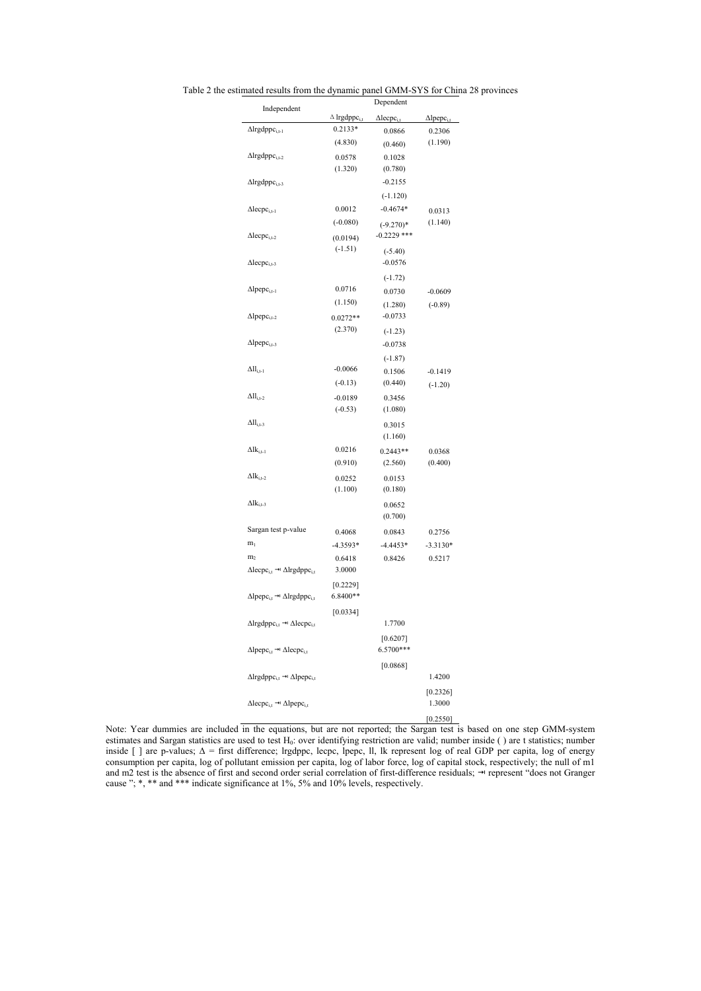| Independent                                                                 | Dependent                       |                               |                               |  |  |
|-----------------------------------------------------------------------------|---------------------------------|-------------------------------|-------------------------------|--|--|
|                                                                             | $\Delta$ lrgdppc <sub>i.t</sub> | $\Delta$ lecpc <sub>i.t</sub> | $\Delta$ lpepc <sub>i.t</sub> |  |  |
| $\Delta$ Irgdppc <sub>i,t-1</sub>                                           | 0.2133*                         | 0.0866                        | 0.2306                        |  |  |
|                                                                             | (4.830)                         | (0.460)                       | (1.190)                       |  |  |
| $\Delta$ Irgdpp $c_{i,t-2}$                                                 | 0.0578                          | 0.1028                        |                               |  |  |
|                                                                             | (1.320)                         | (0.780)                       |                               |  |  |
| $\Delta$ Irgdppc <sub>i,t-3</sub>                                           |                                 | $-0.2155$                     |                               |  |  |
|                                                                             |                                 | $(-1.120)$                    |                               |  |  |
| $\Delta$ lecpc <sub>i,t-1</sub>                                             | 0.0012                          | $-0.4674*$                    | 0.0313                        |  |  |
|                                                                             | $(-0.080)$                      | $(-9.270)*$                   | (1.140)                       |  |  |
| $\Delta$ lecpc <sub>i,t-2</sub>                                             | (0.0194)                        | $-0.2229$ ***                 |                               |  |  |
|                                                                             | $(-1.51)$                       | $(-5.40)$                     |                               |  |  |
| $\Delta$ lecpc <sub>i.t-3</sub>                                             |                                 | $-0.0576$                     |                               |  |  |
|                                                                             |                                 | $(-1.72)$                     |                               |  |  |
| $\Delta$ lpepc <sub>i,t-1</sub>                                             | 0.0716                          | 0.0730                        | $-0.0609$                     |  |  |
|                                                                             | (1.150)                         | (1.280)                       | $(-0.89)$                     |  |  |
| $\Delta$ lpepc <sub>i,t-2</sub>                                             | $0.0272**$                      | $-0.0733$                     |                               |  |  |
|                                                                             | (2.370)                         | $(-1.23)$                     |                               |  |  |
| $\Delta$ lpepc <sub>i.t-3</sub>                                             |                                 | $-0.0738$                     |                               |  |  |
|                                                                             |                                 | $(-1.87)$                     |                               |  |  |
| $\Delta H$ <sub>i.t-1</sub>                                                 | $-0.0066$                       | 0.1506                        | $-0.1419$                     |  |  |
|                                                                             | $(-0.13)$                       | (0.440)                       | $(-1.20)$                     |  |  |
| $\Delta H$ <sub>i.t-2</sub>                                                 | $-0.0189$                       | 0.3456                        |                               |  |  |
|                                                                             | $(-0.53)$                       | (1.080)                       |                               |  |  |
| $\Delta H$ <sub>i.t-3</sub>                                                 |                                 | 0.3015                        |                               |  |  |
|                                                                             |                                 | (1.160)                       |                               |  |  |
| $\Delta$ l $k_{i,t-1}$                                                      | 0.0216                          | $0.2443**$                    | 0.0368                        |  |  |
|                                                                             | (0.910)                         | (2.560)                       | (0.400)                       |  |  |
| $\Delta$ l $k_{i,t-2}$                                                      | 0.0252                          | 0.0153                        |                               |  |  |
|                                                                             | (1.100)                         | (0.180)                       |                               |  |  |
| $\Delta$ l $k_{i,t-3}$                                                      |                                 | 0.0652                        |                               |  |  |
|                                                                             |                                 | (0.700)                       |                               |  |  |
| Sargan test p-value                                                         | 0.4068                          | 0.0843                        | 0.2756                        |  |  |
| m <sub>1</sub>                                                              | $-4.3593*$                      | $-4.4453*$                    | $-3.3130*$                    |  |  |
| m <sub>2</sub>                                                              | 0.6418                          | 0.8426                        | 0.5217                        |  |  |
| $\Delta$ lecpc <sub>i.t</sub> $\rightarrow$ $\Delta$ lrgdppc <sub>i.t</sub> | 3.0000                          |                               |                               |  |  |
|                                                                             | $[0.2229]$                      |                               |                               |  |  |
| $\Delta$ lpepc <sub>i,t</sub> $\rightarrow$ $\Delta$ lrgdppc <sub>i,t</sub> | 6.8400**                        |                               |                               |  |  |
|                                                                             | [0.0334]                        |                               |                               |  |  |
| $\Delta$ lrgdppc <sub>i,t</sub> → $\Delta$ lecpc <sub>i,t</sub>             |                                 | 1.7700                        |                               |  |  |
|                                                                             |                                 | [0.6207]                      |                               |  |  |
| $\Delta$ lpepc <sub>i,t</sub> $\rightarrow$ $\Delta$ lecpc <sub>i,t</sub>   |                                 | 6.5700***                     |                               |  |  |
|                                                                             |                                 | [0.0868]                      |                               |  |  |
| $\Delta$ lrgdppc <sub>i.t</sub> $\rightarrow$ $\Delta$ lpepc <sub>i.t</sub> |                                 |                               | 1.4200                        |  |  |
|                                                                             |                                 |                               | $[0.2326]$                    |  |  |
| $\Delta$ lecpc <sub>i,t</sub> $\rightarrow$ $\Delta$ lpepc <sub>i,t</sub>   |                                 |                               | 1.3000                        |  |  |
|                                                                             |                                 |                               | [0.2550]                      |  |  |
|                                                                             |                                 |                               |                               |  |  |

Table 2 the estimated results from the dynamic panel GMM-SYS for China 28 provinces

Note: Year dummies are included in the equations, but are not reported; the Sargan test is based on one step GMM-system estimates and Sargan statistics are used to test  $H_0$ : over identifying restriction are valid; number inside () are t statistics; number inside [ ] are p-values;  $\Delta$  = first difference; lrgdppc, lecpc, lpepc, ll, lk represent log of real GDP per capita, log of energy consumption per capita, log of pollutant emission per capita, log of labor force, log of capital stock, respectively; the null of m1 and m2 test is the absence of first and second order serial correlation of first-difference residuals; → represent "does not Granger cause "; \*, \*\* and \*\*\* indicate significance at 1%, 5% and 10% levels, respectively.